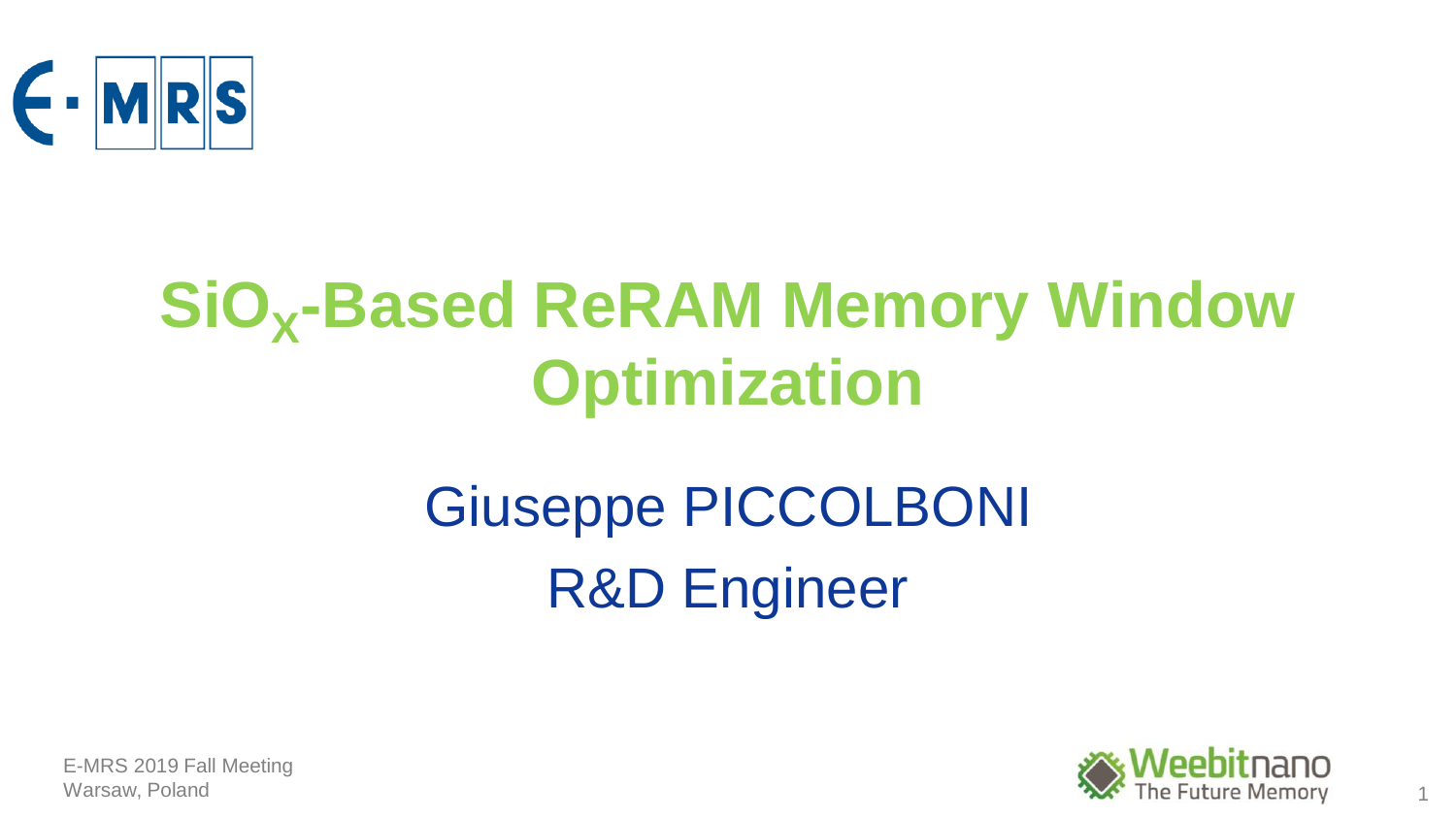

## **SiO<sup>X</sup> -Based ReRAM Memory Window Optimization**

## Giuseppe PICCOLBONI R&D Engineer

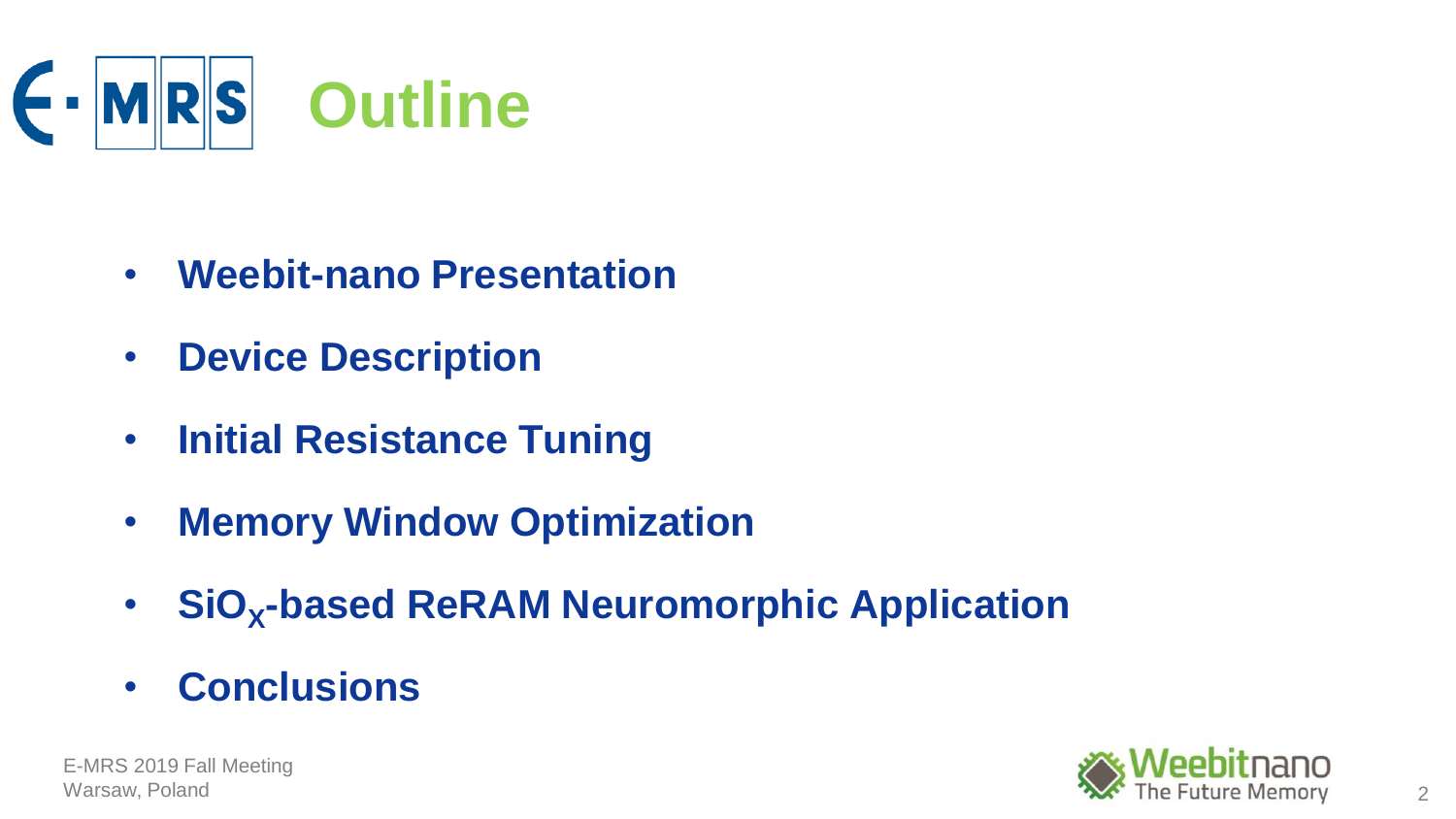

- **Weebit-nano Presentation**
- **Device Description**
- **Initial Resistance Tuning**
- **Memory Window Optimization**
- **SiO<sup>X</sup> -based ReRAM Neuromorphic Application**
- **Conclusions**

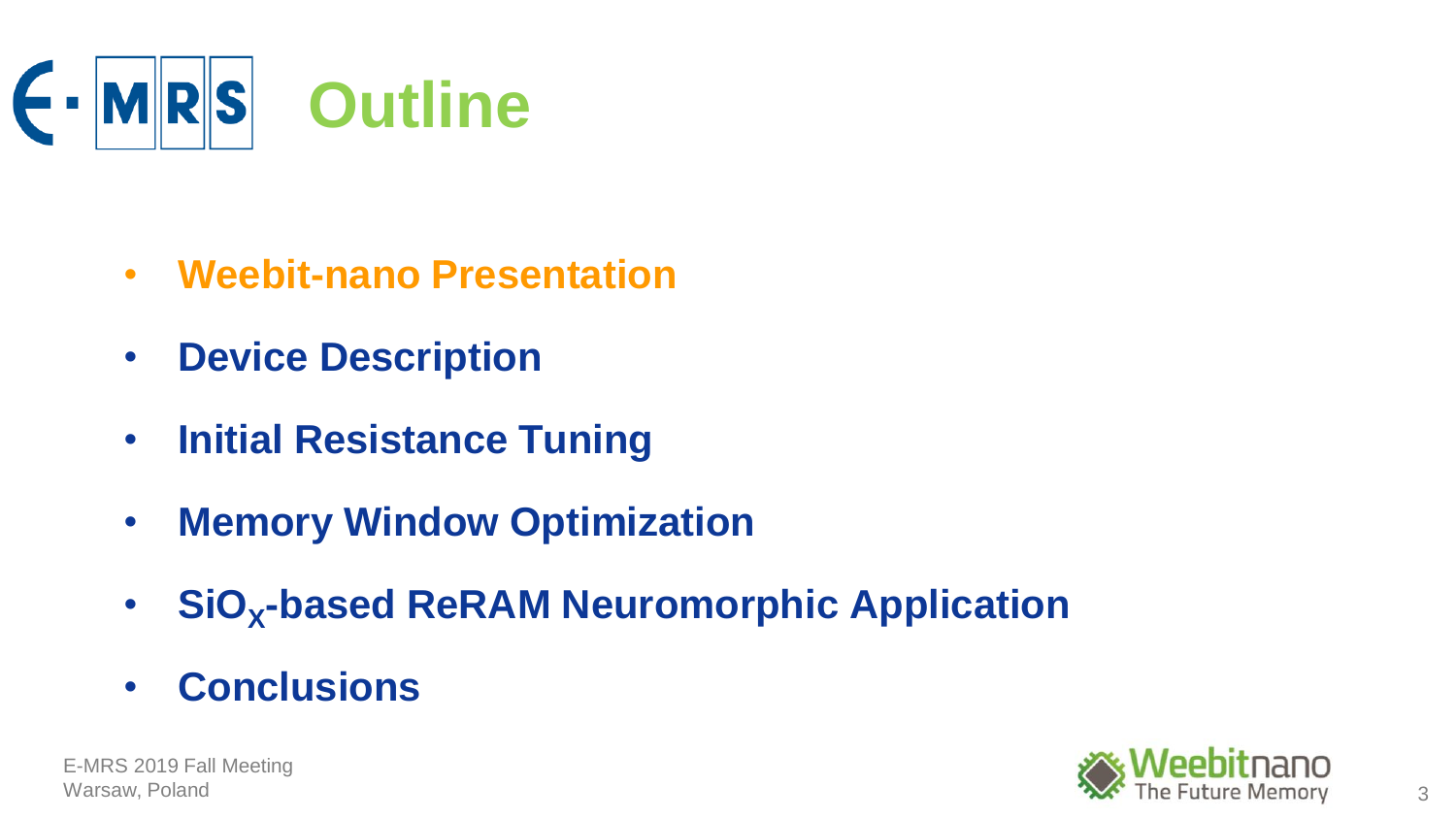

- **Weebit-nano Presentation**
- **Device Description**
- **Initial Resistance Tuning**
- **Memory Window Optimization**
- **SiO<sup>X</sup> -based ReRAM Neuromorphic Application**
- **Conclusions**

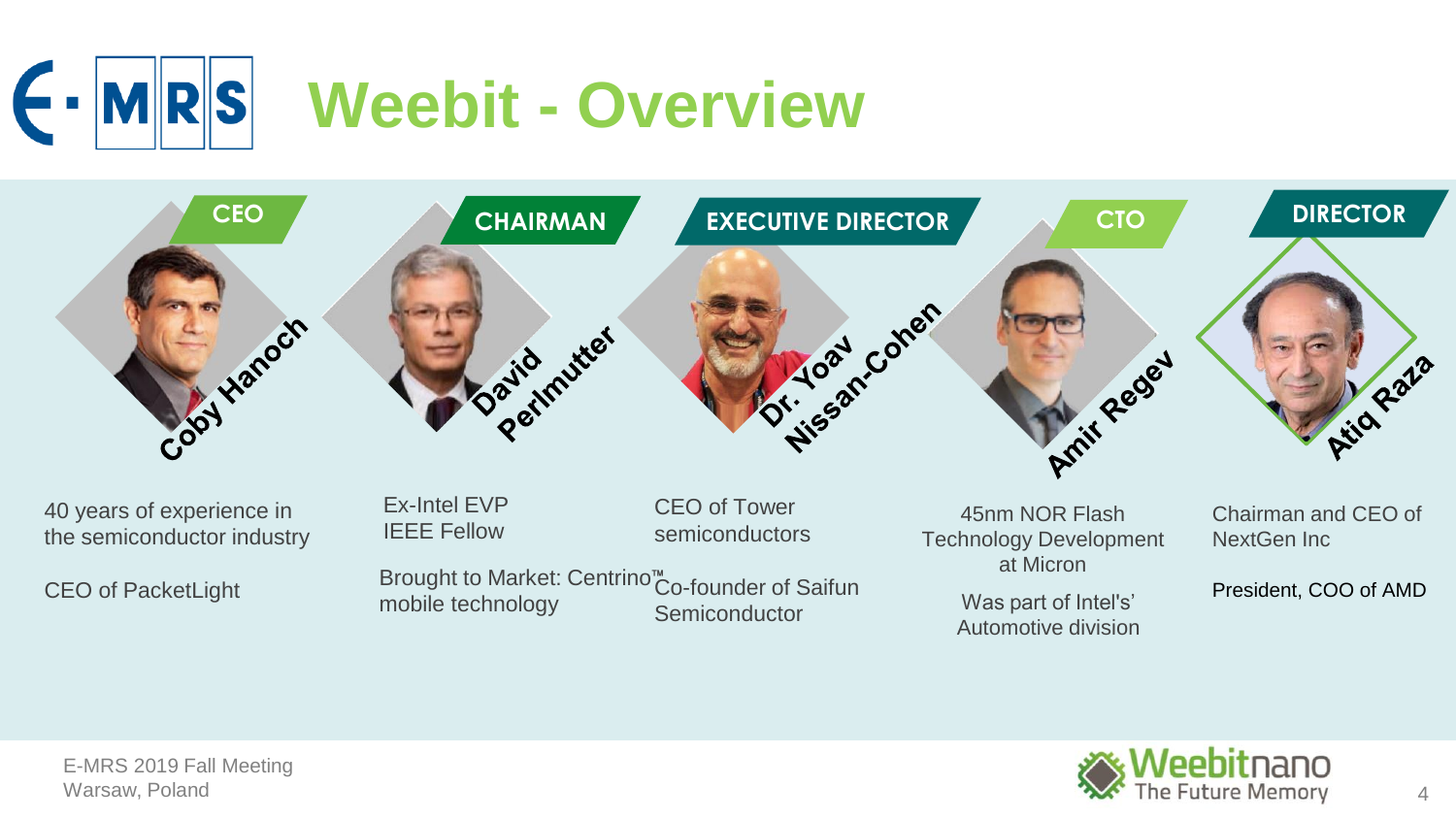



40 years of experience in the semiconductor industry

CEO of PacketLight

Ex-Intel EVP IEEE Fellow

CEO of Tower semiconductors

Brought to Market: Centrino<sup>™</sup>Co-founder of Saifun Semiconductor mobile technology example the continuum of the was part of Intel's'

45nm NOR Flash Technology Development at Micron

Automotive division

Chairman and CEO of NextGen Inc

President, COO of AMD

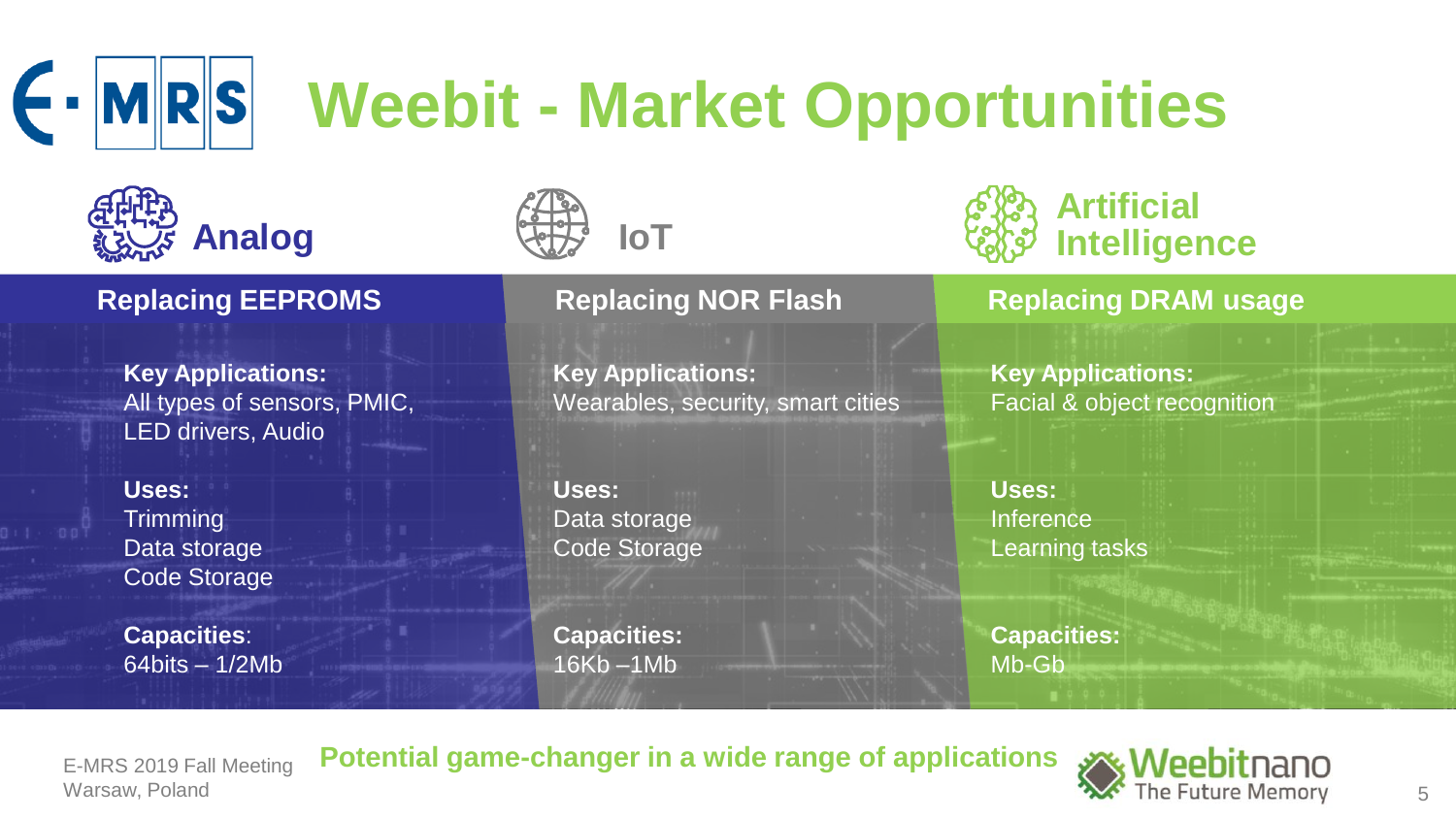

## **Weebit - Market Opportunities**





## **Key Applications:**  All types of sensors, PMIC, LED drivers, Audio

**Uses: Trimming** Data storage Code Storage

**Capacities**: 64bits – 1/2Mb

**Key Applications:**  Wearables, security, smart cities

**Uses:** Data storage Code Storage

**Capacities:** 16Kb –1Mb

## **Artificial Intelligence**

## **Replacing EEPROMS Replacing NOR Flash Replacing DRAM usage**

**Key Applications:**  Facial & object recognition

**Uses:** Inference Learning tasks

**Capacities:** Mb-Gb

E-MRS 2019 Fall Meeting

**Potential game-changer in a wide range of applications**

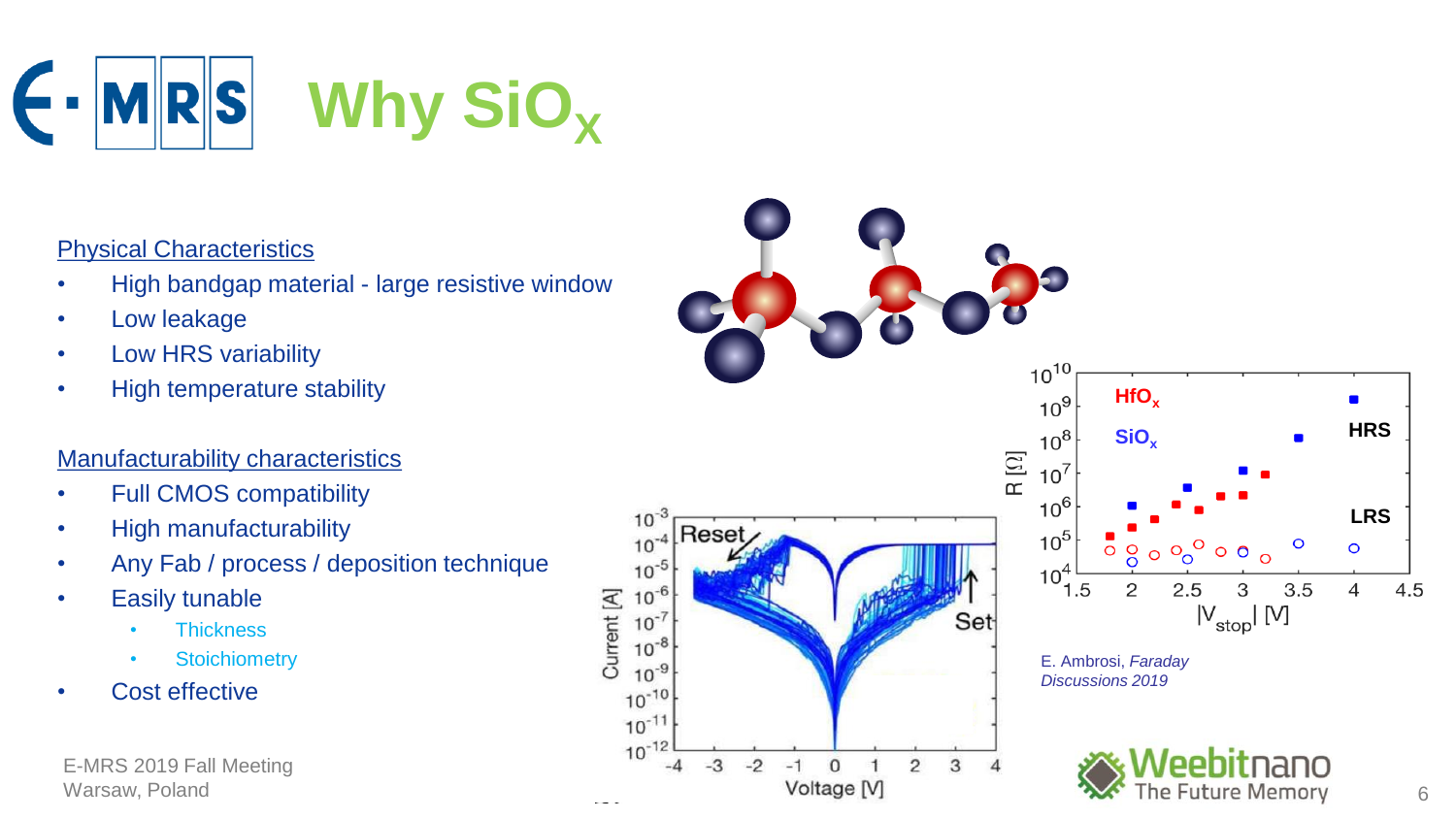

## Physical Characteristics

- High bandgap material large resistive window
- Low leakage
- Low HRS variability
- High temperature stability

## Manufacturability characteristics

- Full CMOS compatibility
- High manufacturability
- Any Fab / process / deposition technique
- Easily tunable
	- **Thickness**
	- **Stoichiometry**
- Cost effective

E-MRS 2019 Fall Meeting Warsaw, Poland

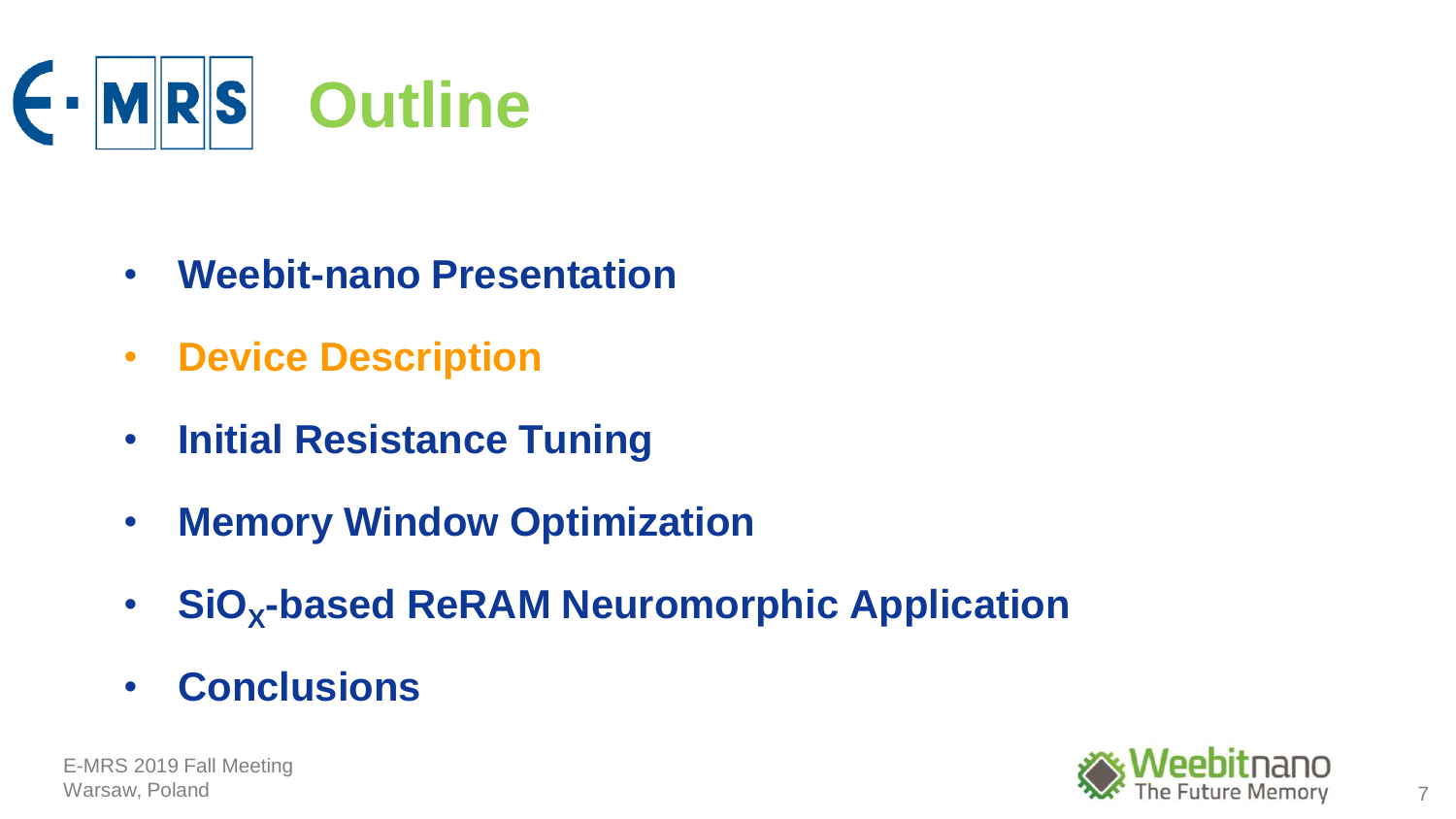

- **Weebit-nano Presentation**
- **Device Description**
- **Initial Resistance Tuning**
- **Memory Window Optimization**
- **SiO<sup>X</sup> -based ReRAM Neuromorphic Application**
- **Conclusions**

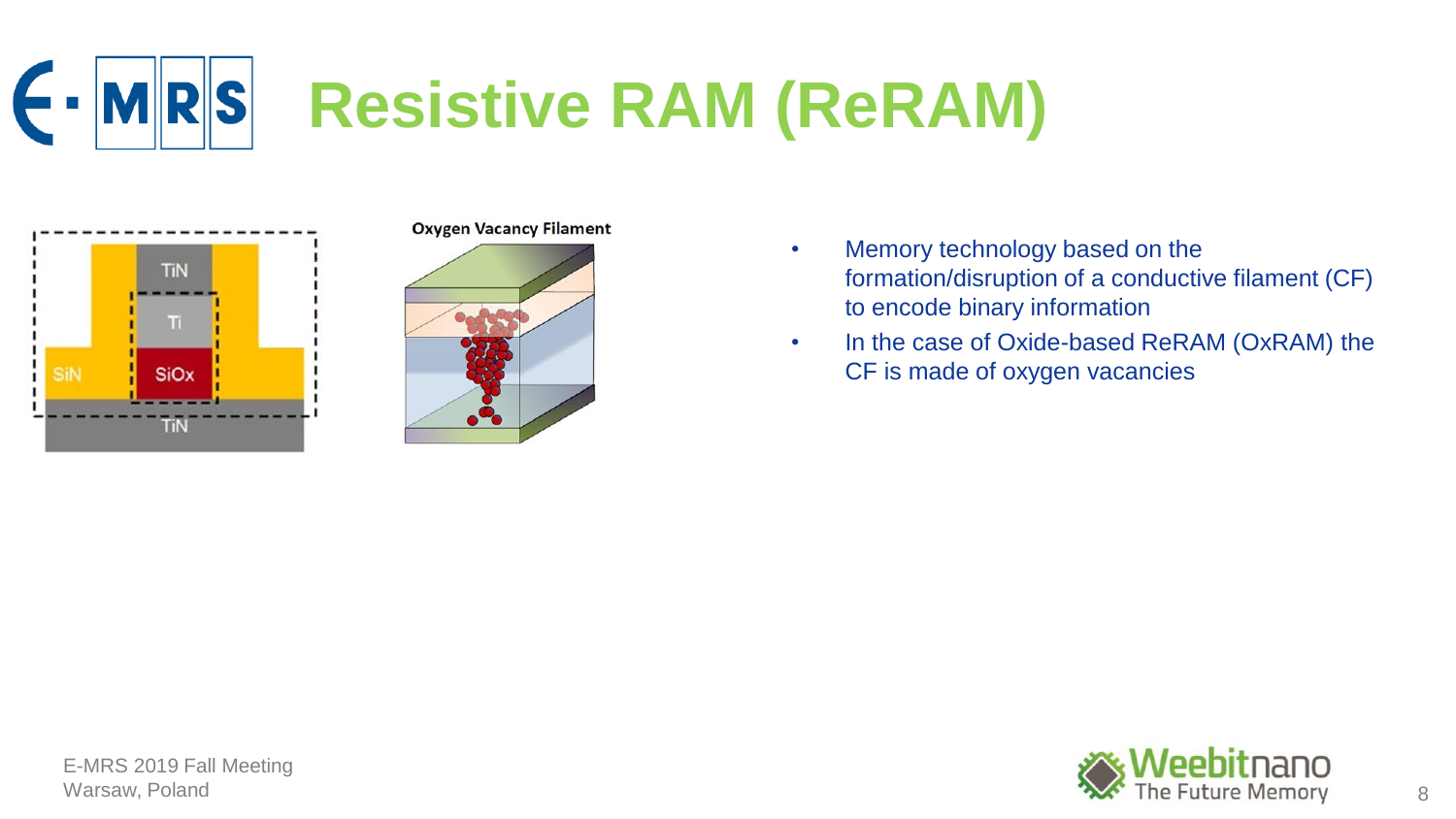



## **Oxygen Vacancy Filament**



- Memory technology based on the formation/disruption of a conductive filament (CF) to encode binary information
- In the case of Oxide-based ReRAM (OxRAM) the CF is made of oxygen vacancies

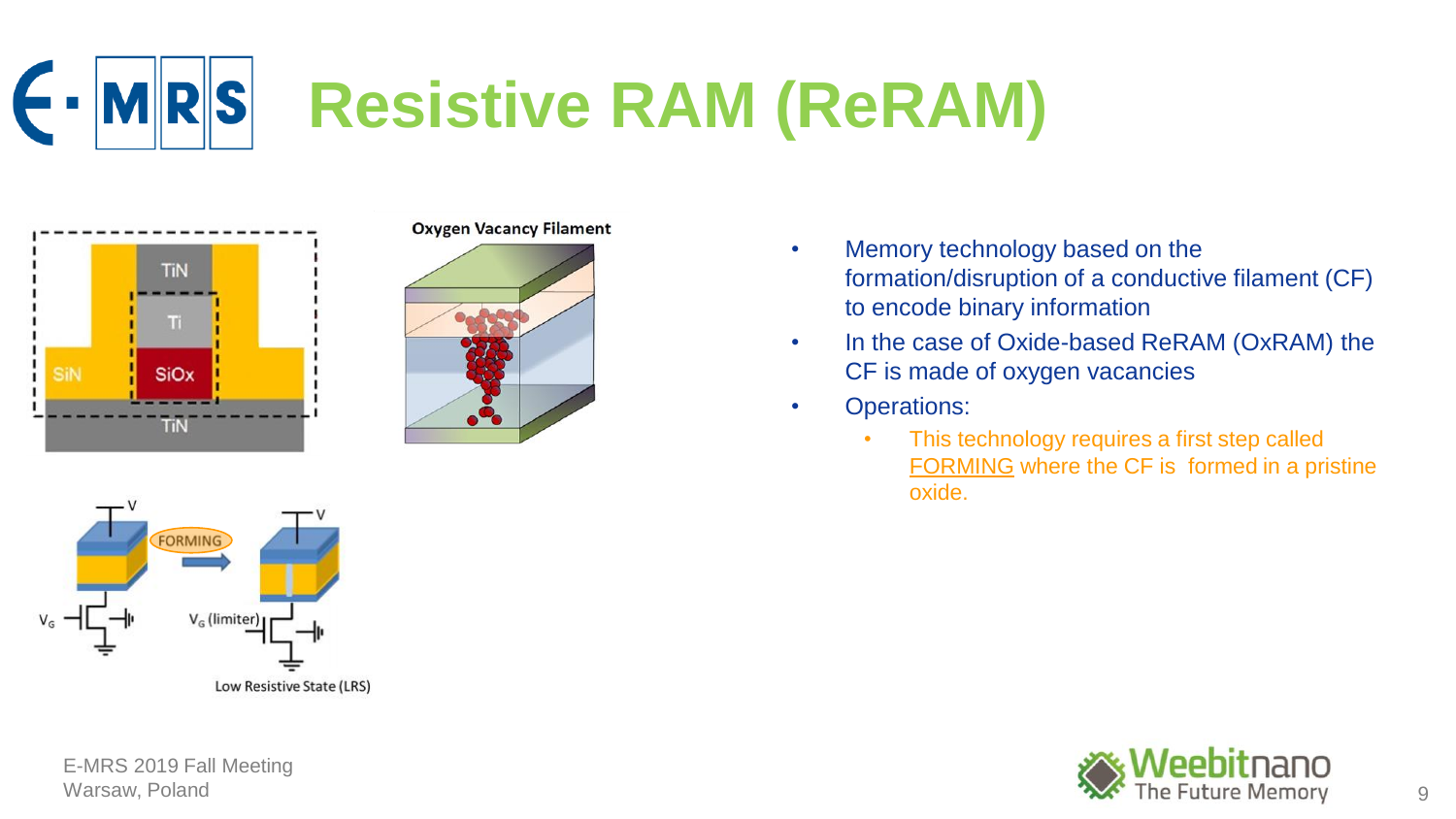



## **Oxygen Vacancy Filament**





E-MRS 2019 Fall Meeting

## • Memory technology based on the formation/disruption of a conductive filament (CF) to encode binary information

- In the case of Oxide-based ReRAM (OxRAM) the CF is made of oxygen vacancies
- Operations:
	- This technology requires a first step called FORMING where the CF is formed in a pristine oxide.

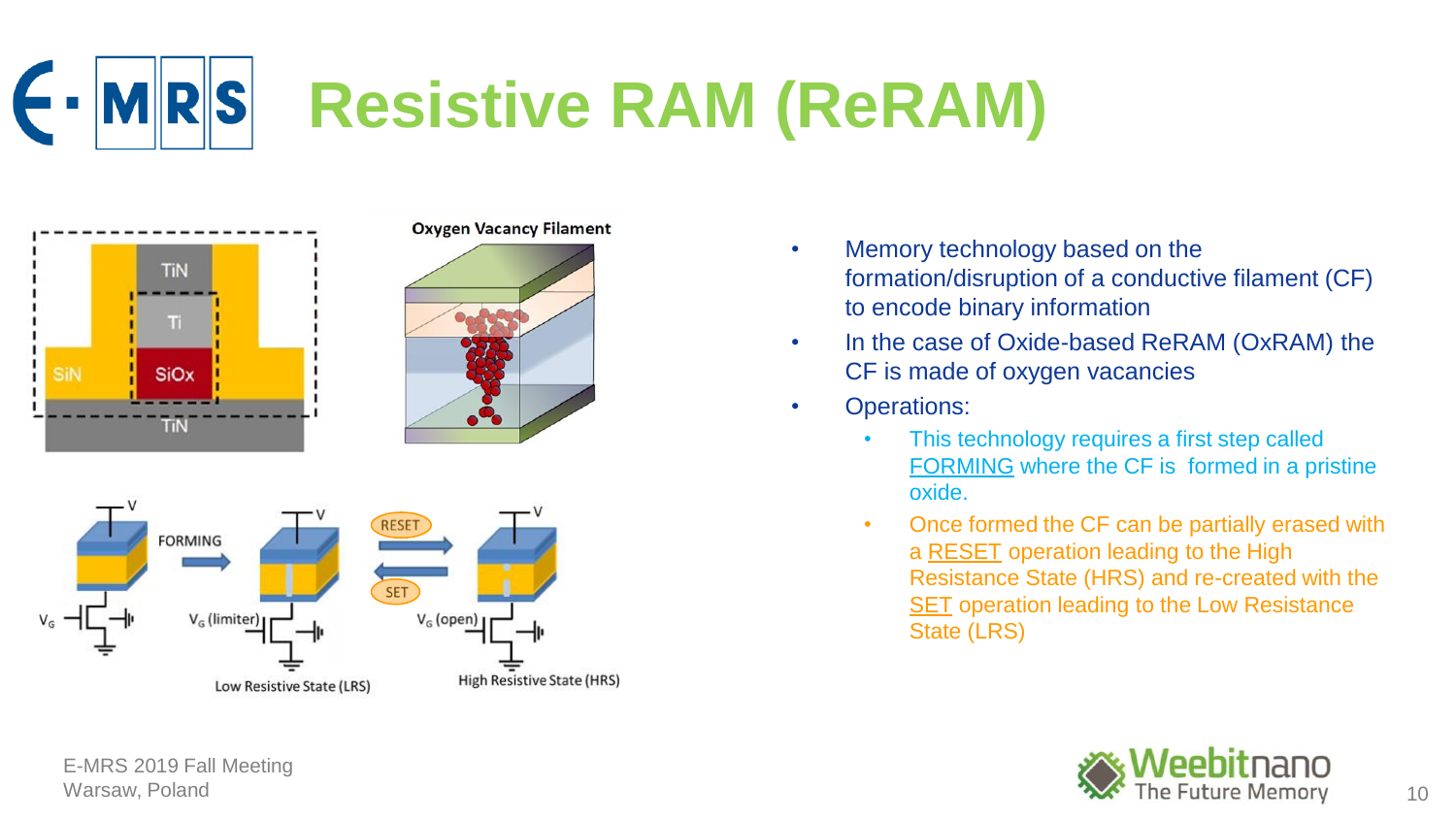



## **Oxygen Vacancy Filament**





- Memory technology based on the formation/disruption of a conductive filament (CF) to encode binary information
- In the case of Oxide-based ReRAM (OxRAM) the CF is made of oxygen vacancies
- Operations:
	- This technology requires a first step called FORMING where the CF is formed in a pristine oxide.
	- Once formed the CF can be partially erased with a RESET operation leading to the High Resistance State (HRS) and re-created with the SET operation leading to the Low Resistance State (LRS)

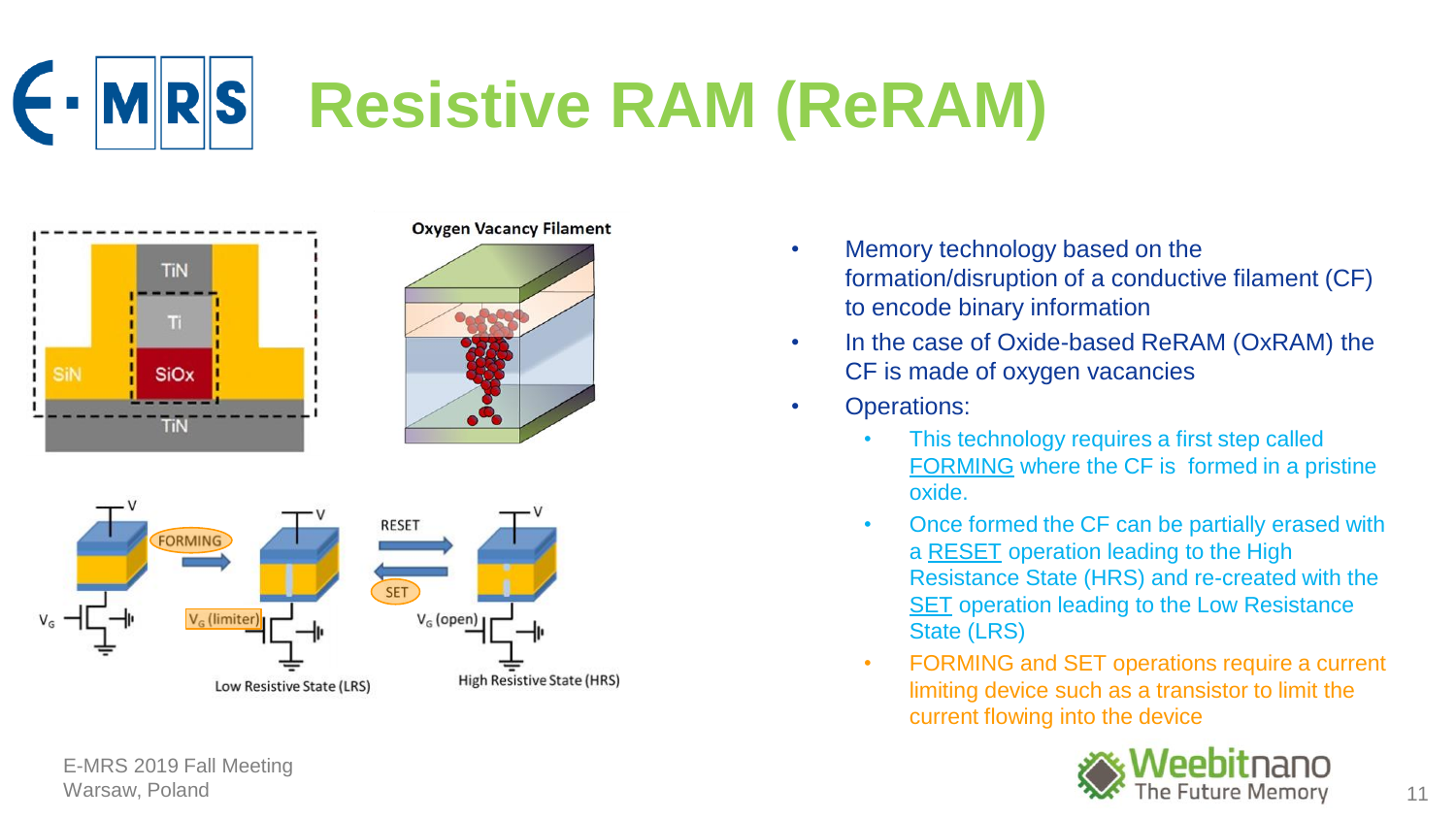



## **Oxygen Vacancy Filament**





- Memory technology based on the formation/disruption of a conductive filament (CF) to encode binary information
- In the case of Oxide-based ReRAM (OxRAM) the CF is made of oxygen vacancies
- Operations:
	- This technology requires a first step called FORMING where the CF is formed in a pristine oxide.
	- Once formed the CF can be partially erased with a RESET operation leading to the High Resistance State (HRS) and re-created with the SET operation leading to the Low Resistance State (LRS)
	- FORMING and SET operations require a current limiting device such as a transistor to limit the current flowing into the device

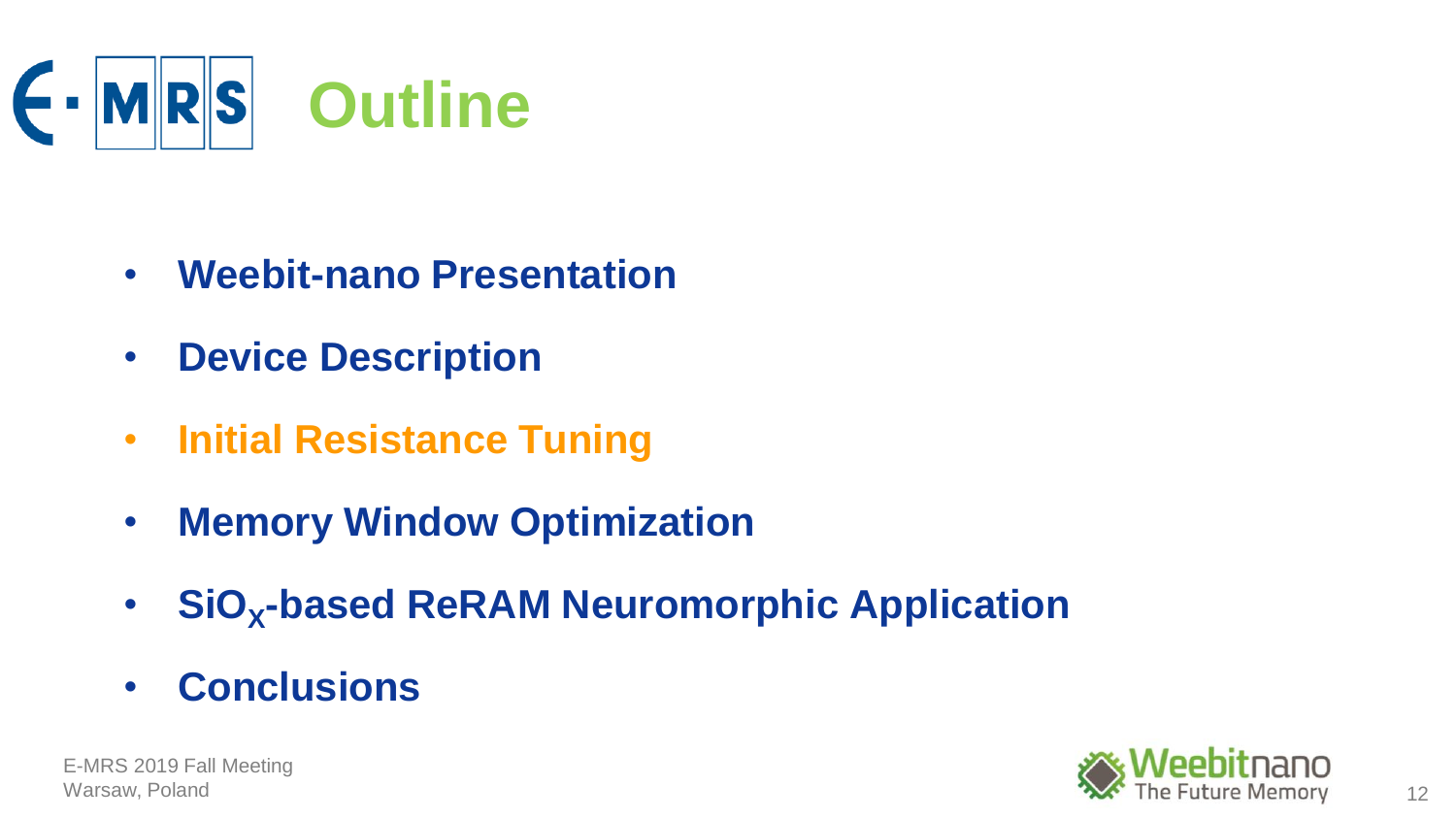

- **Weebit-nano Presentation**
- **Device Description**
- **Initial Resistance Tuning**
- **Memory Window Optimization**
- **SiO<sup>X</sup> -based ReRAM Neuromorphic Application**
- **Conclusions**

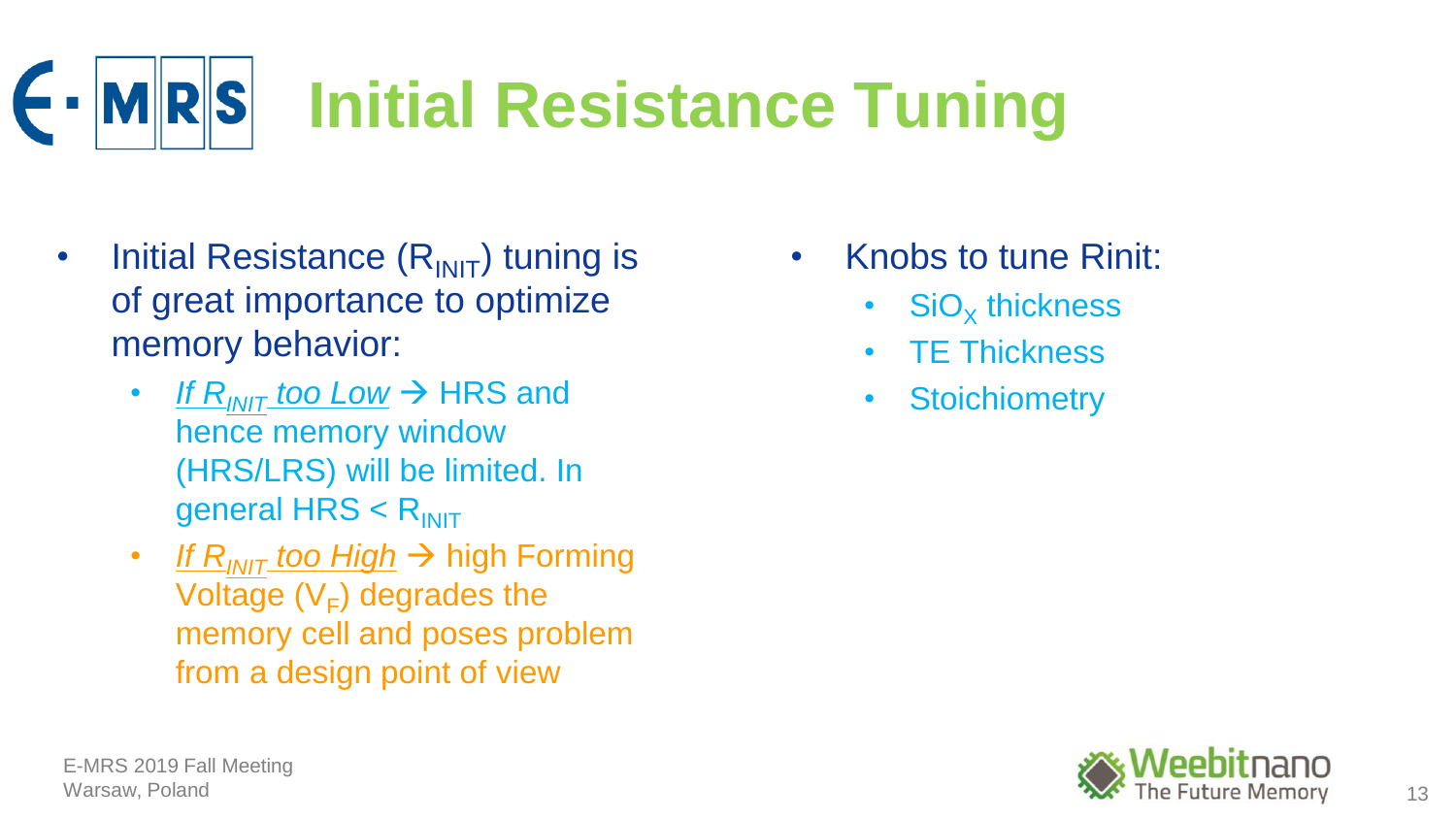

- Initial Resistance  $(R<sub>INIT</sub>)$  tuning is of great importance to optimize memory behavior:
	- *If R<sub>INIT</sub> too Low*  $\rightarrow$  HRS and hence memory window (HRS/LRS) will be limited. In general  $HRS < R_{INIT}$
	- *If R<sub>INIT</sub> too High* → high Forming Voltage  $(V_F)$  degrades the memory cell and poses problem from a design point of view
- Knobs to tune Rinit:
	- $SiO_X$  thickness
	- TE Thickness
	- Stoichiometry

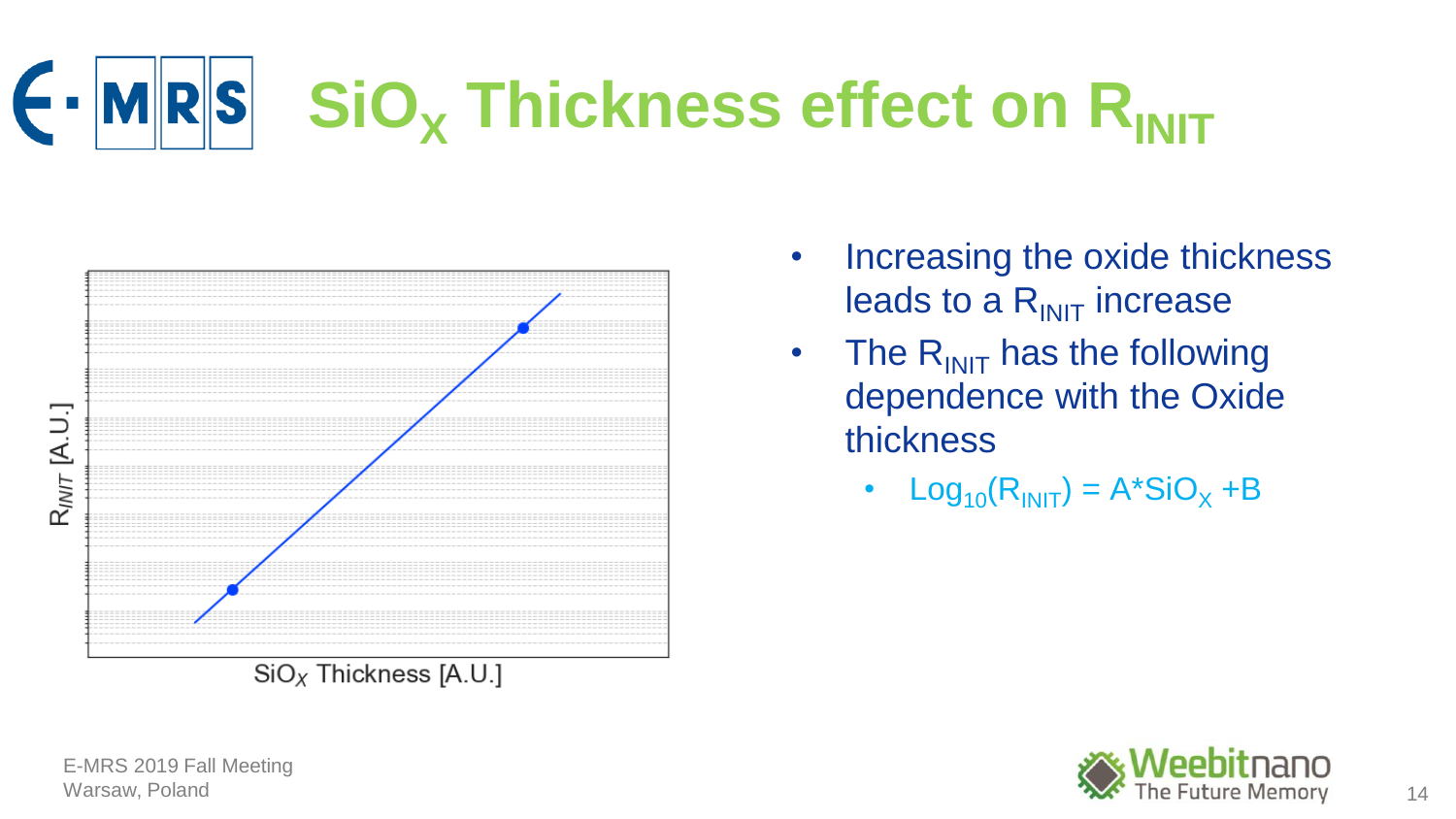## $\blacktriangleright$ **MRS**  $SIO<sub>x</sub>$  **Thickness effect on R**<sub>INIT</sub>



- Increasing the oxide thickness leads to a  $R_{\text{INIT}}$  increase
- The  $R_{\text{INIT}}$  has the following dependence with the Oxide thickness
	- Log<sub>10</sub> $(R<sub>INIT</sub>) = A<sup>*</sup>SiO<sub>x</sub> + B$

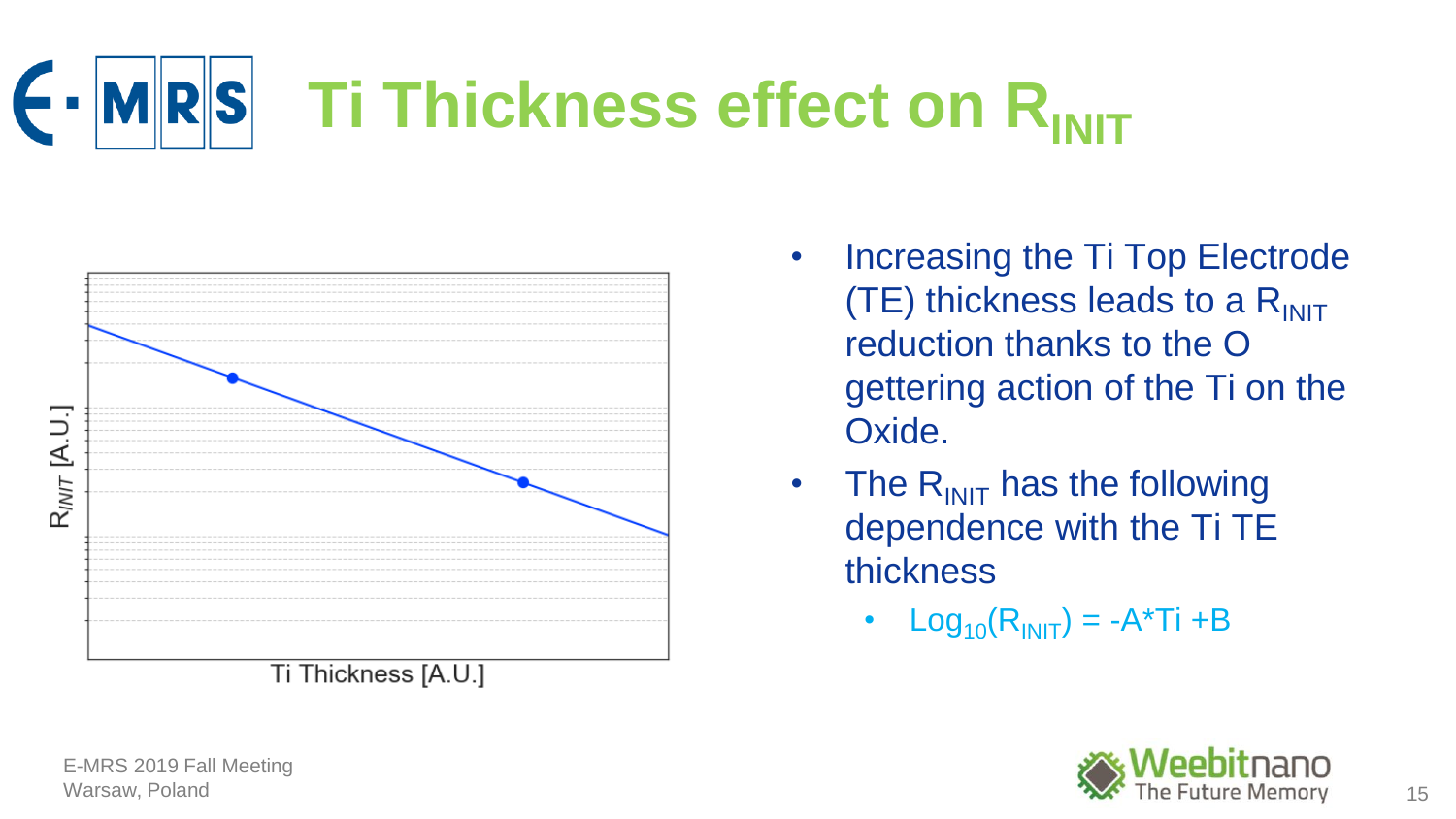



- Increasing the Ti Top Electrode (TE) thickness leads to a  $R_{\text{INIT}}$ reduction thanks to the O gettering action of the Ti on the Oxide.
- The  $R_{\text{INIT}}$  has the following dependence with the Ti TE thickness
	- $Log_{10}(R_{\text{INIT}}) = -A^*Ti + B$

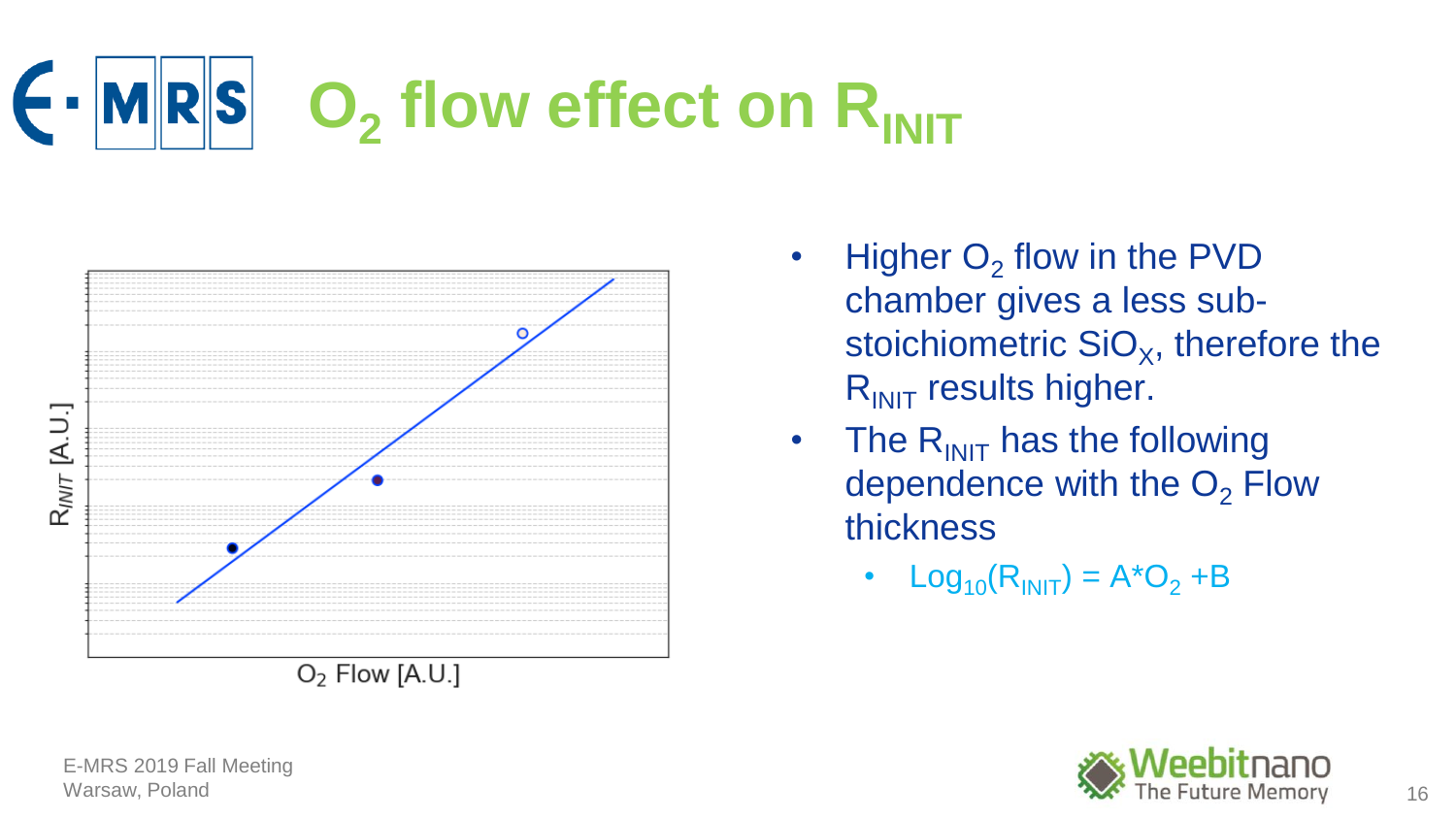## ← **MRS O<sub>2</sub>** flow effect on R<sub>INIT</sub>



- Higher  $O_2$  flow in the PVD chamber gives a less substoichiometric SiO<sub>x</sub>, therefore the  $R_{\text{INIT}}$  results higher.
- The  $R_{\text{INIT}}$  has the following dependence with the  $O<sub>2</sub>$  Flow thickness
	- $Log_{10}(R_{\text{INIT}}) = A^*O_2 + B$

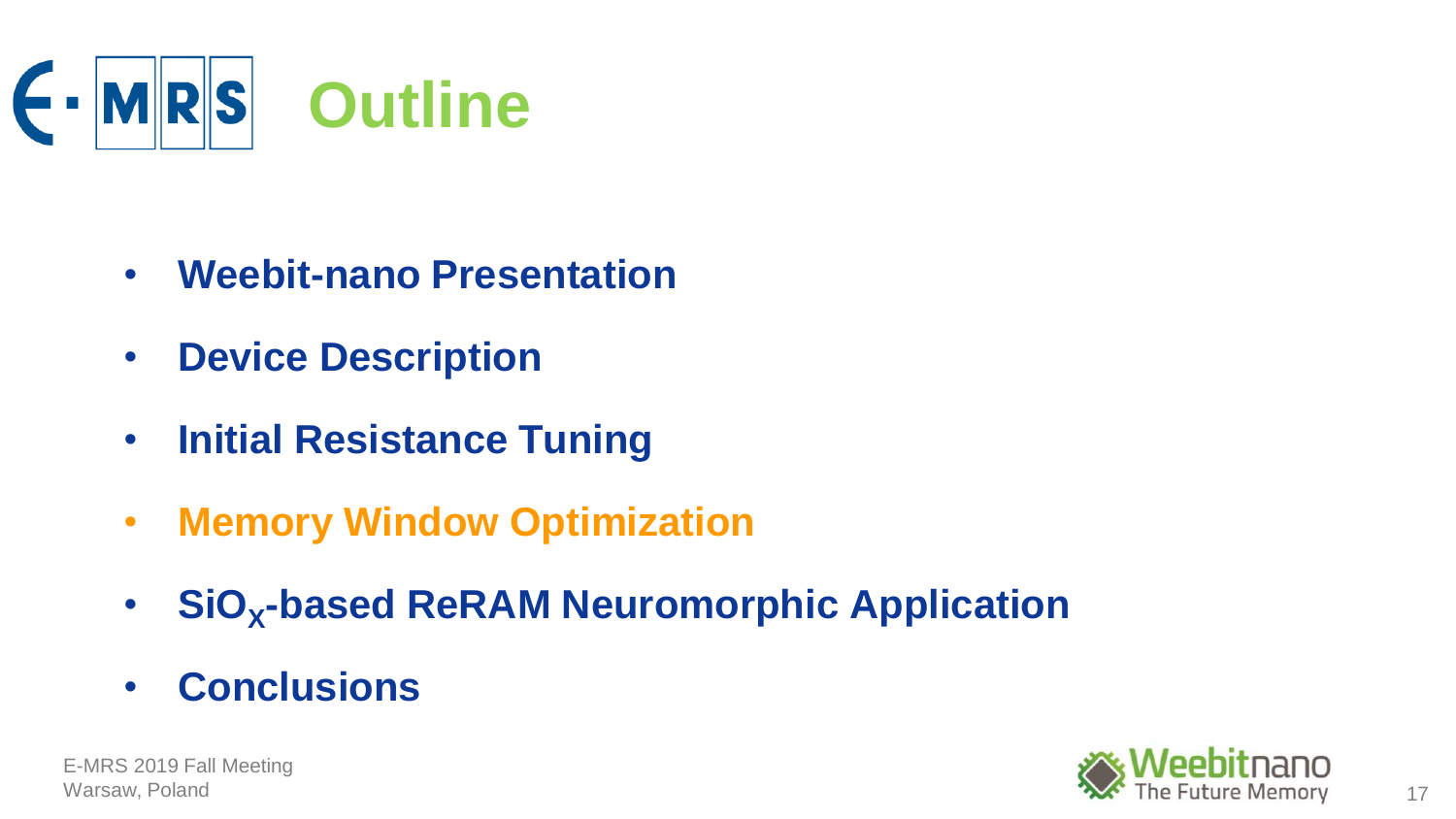

- **Weebit-nano Presentation**
- **Device Description**
- **Initial Resistance Tuning**
- **Memory Window Optimization**
- **SiO<sup>X</sup> -based ReRAM Neuromorphic Application**
- **Conclusions**

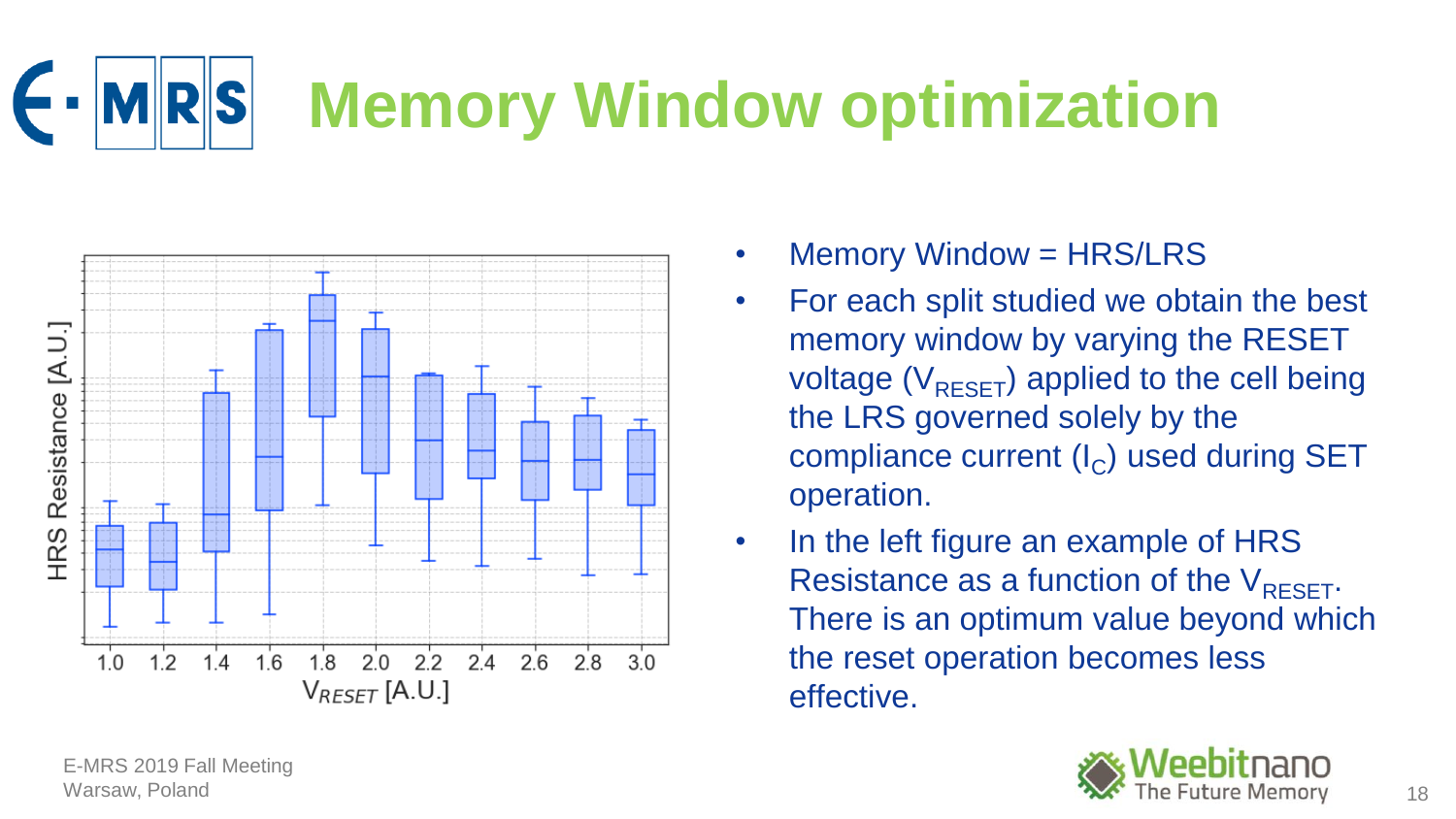## **MRS Memory Window optimization**



- Memory Window = HRS/LRS
- For each split studied we obtain the best memory window by varying the RESET voltage ( $V_{RESET}$ ) applied to the cell being the LRS governed solely by the compliance current  $(I_C)$  used during SET operation.
- In the left figure an example of HRS Resistance as a function of the  $V_{RESFT}$ . There is an optimum value beyond which the reset operation becomes less effective.

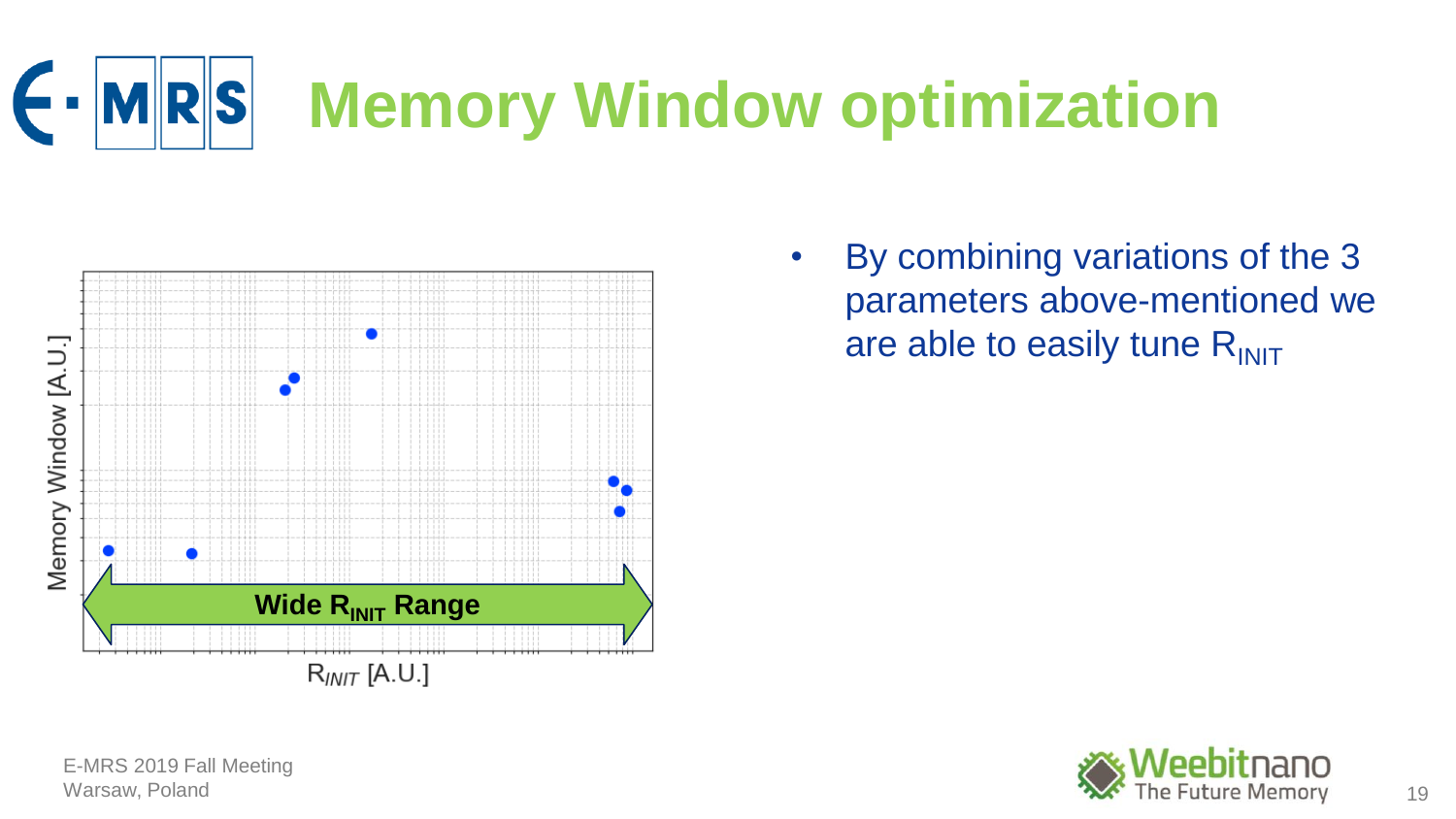



• By combining variations of the 3 parameters above-mentioned we are able to easily tune  $R_{\text{INIT}}$ 

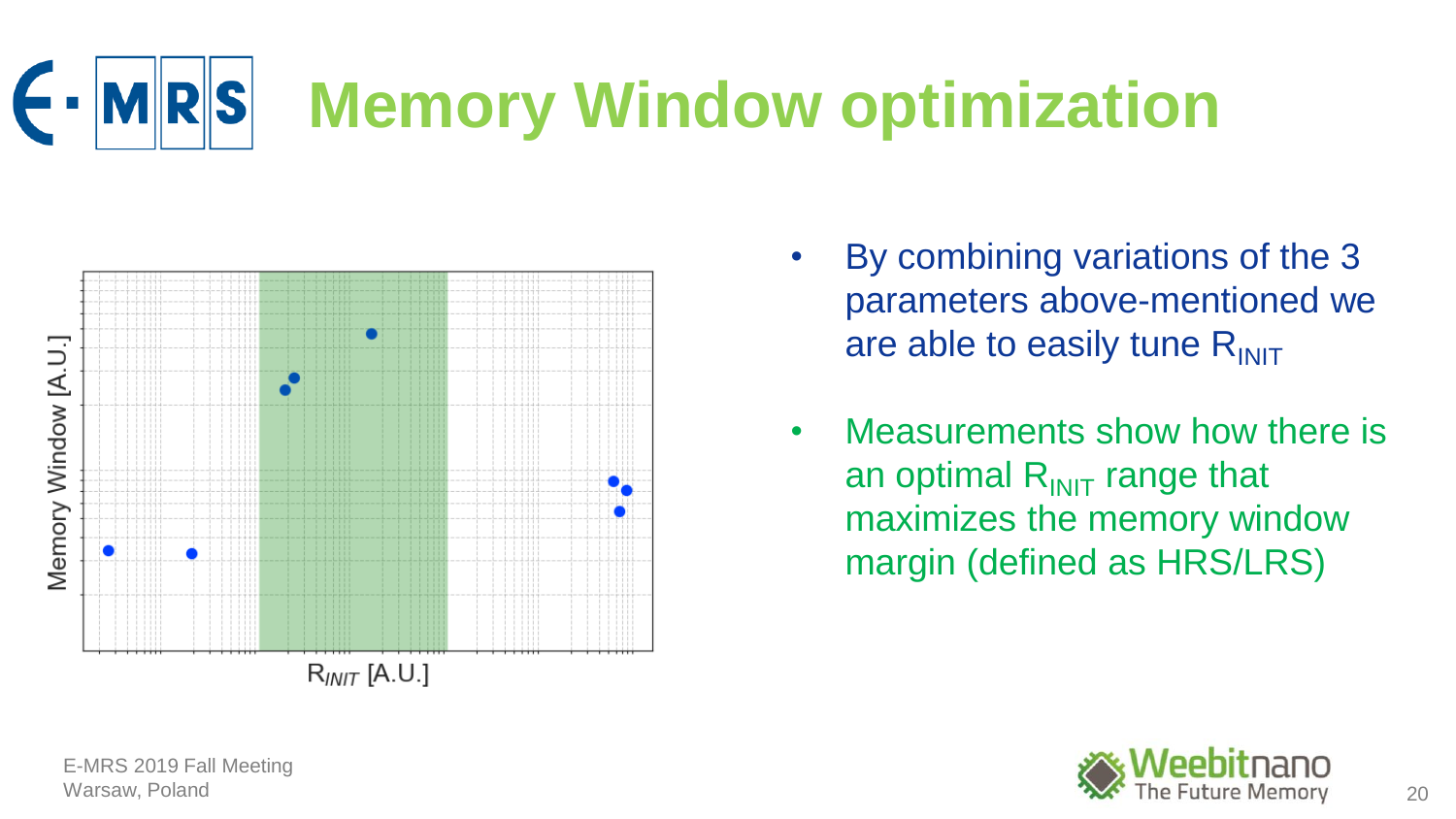



- By combining variations of the 3 parameters above-mentioned we are able to easily tune  $R_{\text{INIT}}$
- Measurements show how there is an optimal  $R_{INIT}$  range that maximizes the memory window margin (defined as HRS/LRS)

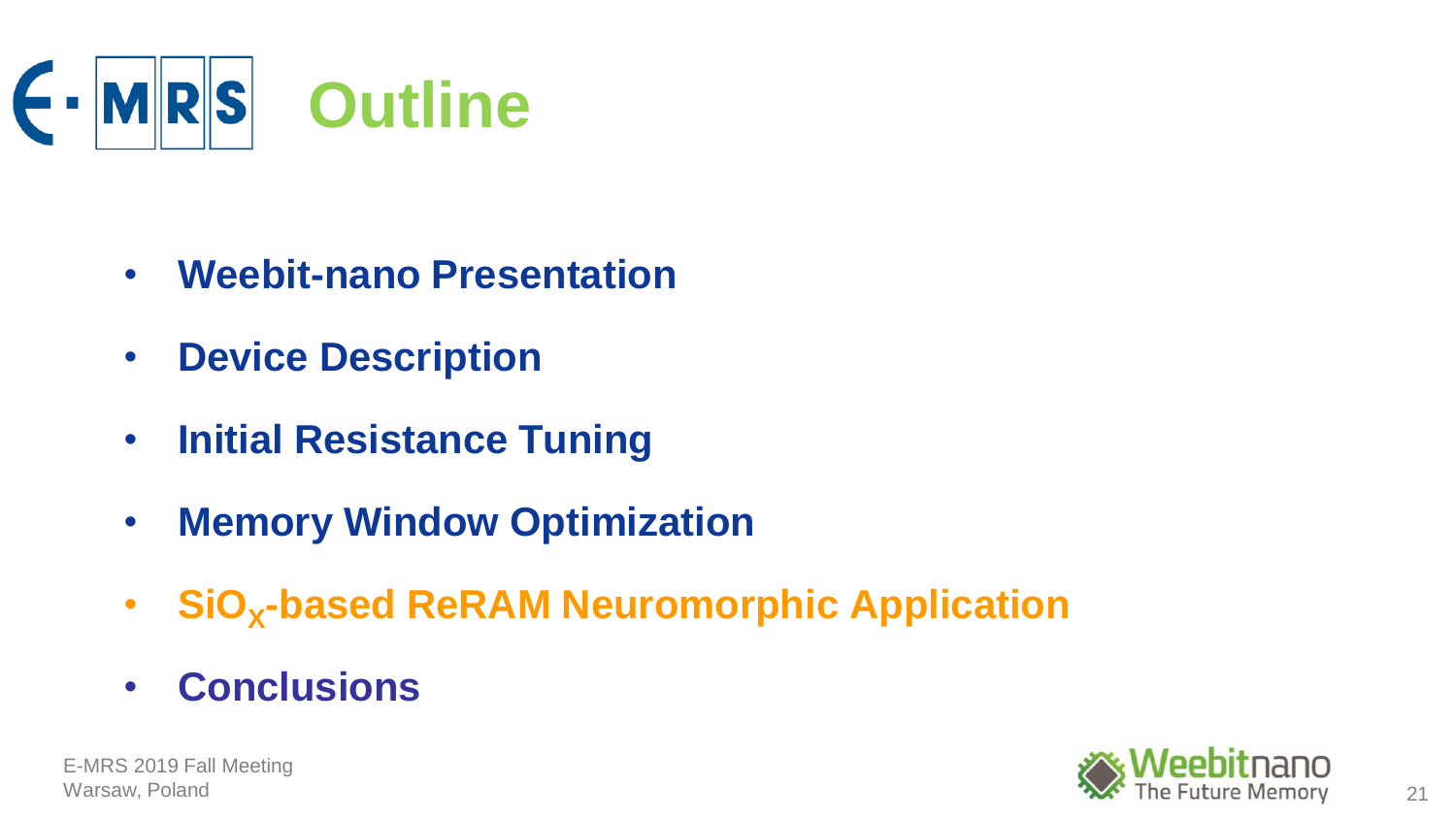

- **Weebit-nano Presentation**
- **Device Description**
- **Initial Resistance Tuning**
- **Memory Window Optimization**
- **SiO<sup>X</sup> -based ReRAM Neuromorphic Application**
- **Conclusions**

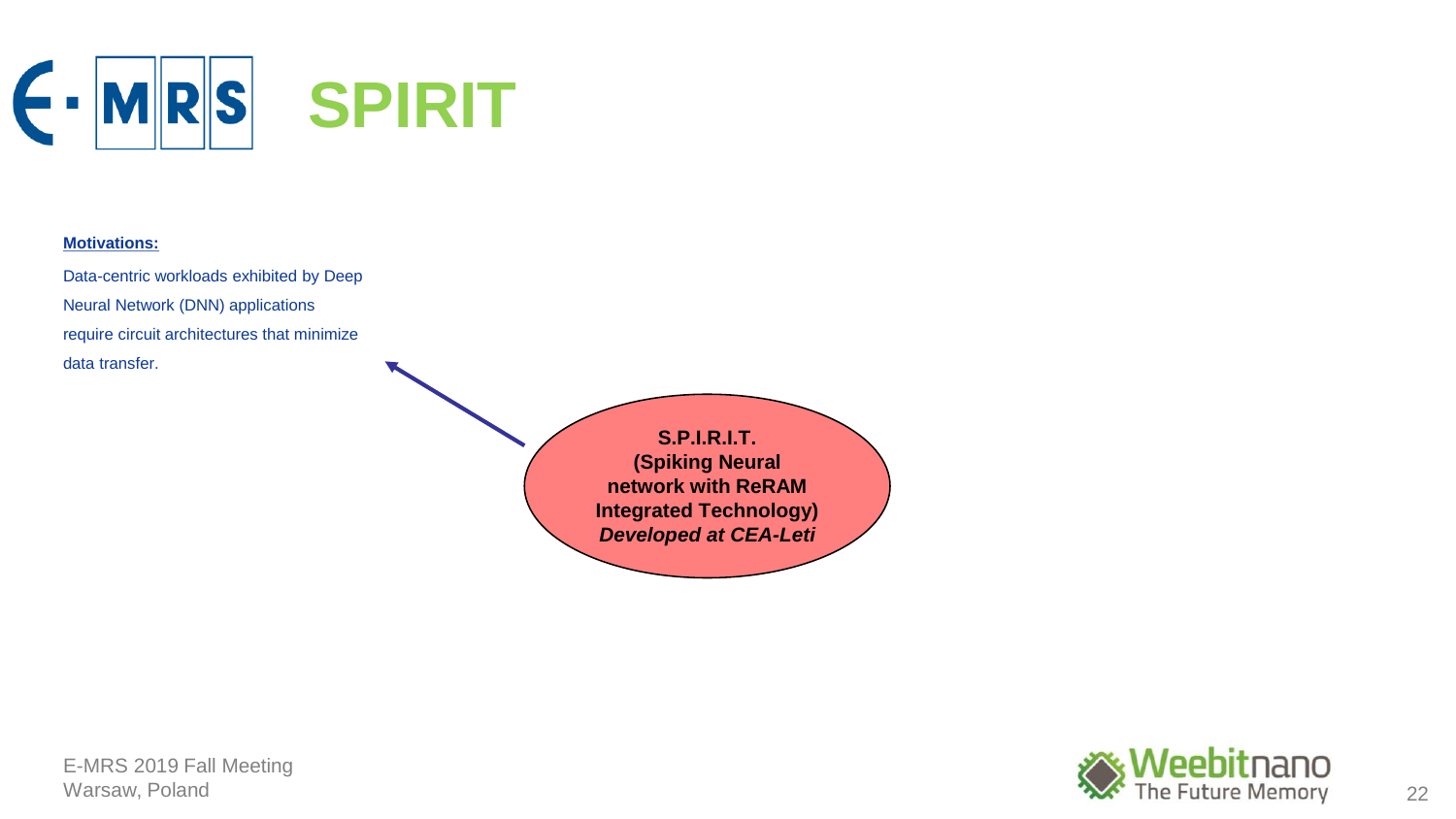

## **Motivations:**

Data-centric workloads exhibited by Deep Neural Network (DNN) applications require circuit architectures that minimize data transfer.

> **S.P.I.R.I.T. (Spiking Neural network with ReRAM Integrated Technology)** *Developed at CEA-Leti*

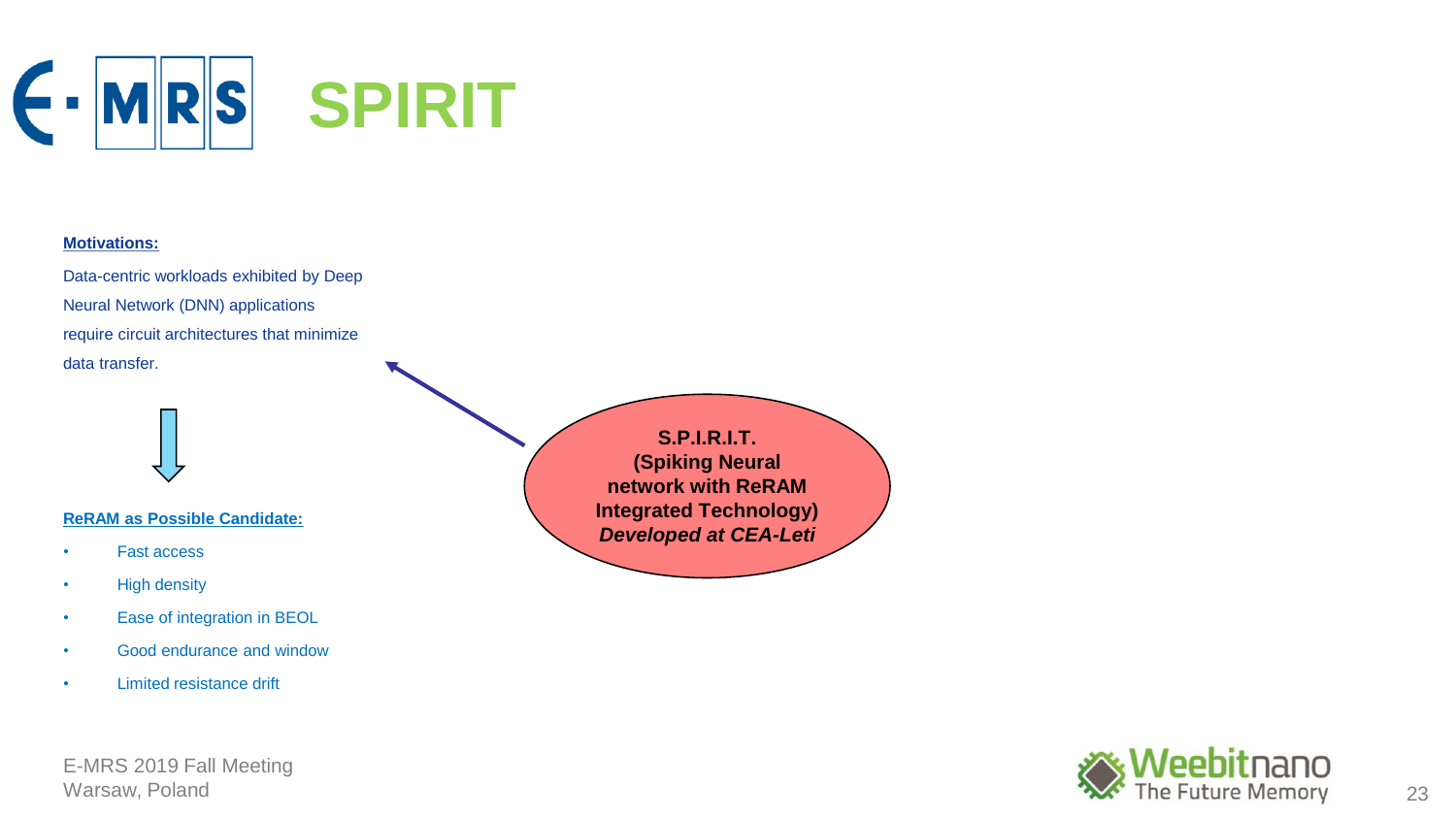

#### **Motivations:**

Data-centric workloads exhibited by Deep Neural Network (DNN) applications require circuit architectures that minimize data transfer.

### **ReRAM as Possible Candidate:**

- Fast access
- High density
- Ease of integration in BEOL
- Good endurance and window
- Limited resistance drift

E-MRS 2019 Fall Meeting

**S.P.I.R.I.T. (Spiking Neural network with ReRAM Integrated Technology)** *Developed at CEA-Leti*

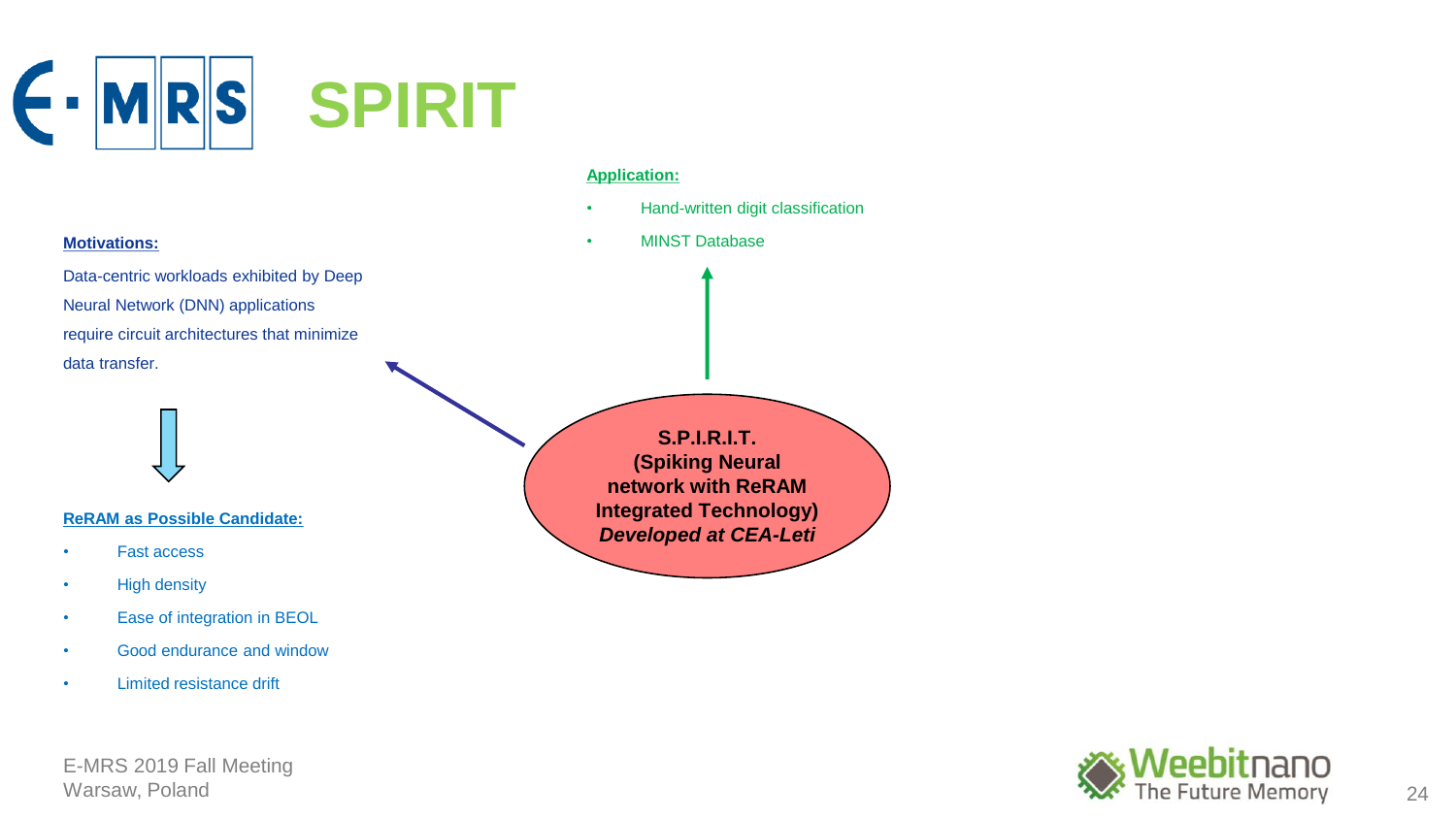

• Hand-written digit classification

### **Motivations:**

Data-centric workloads exhibited by Deep Neural Network (DNN) applications require circuit architectures that minimize data transfer.

• MINST Database

## **ReRAM as Possible Candidate:**

- Fast access
- High density
- Ease of integration in BEOL
- Good endurance and window
- Limited resistance drift



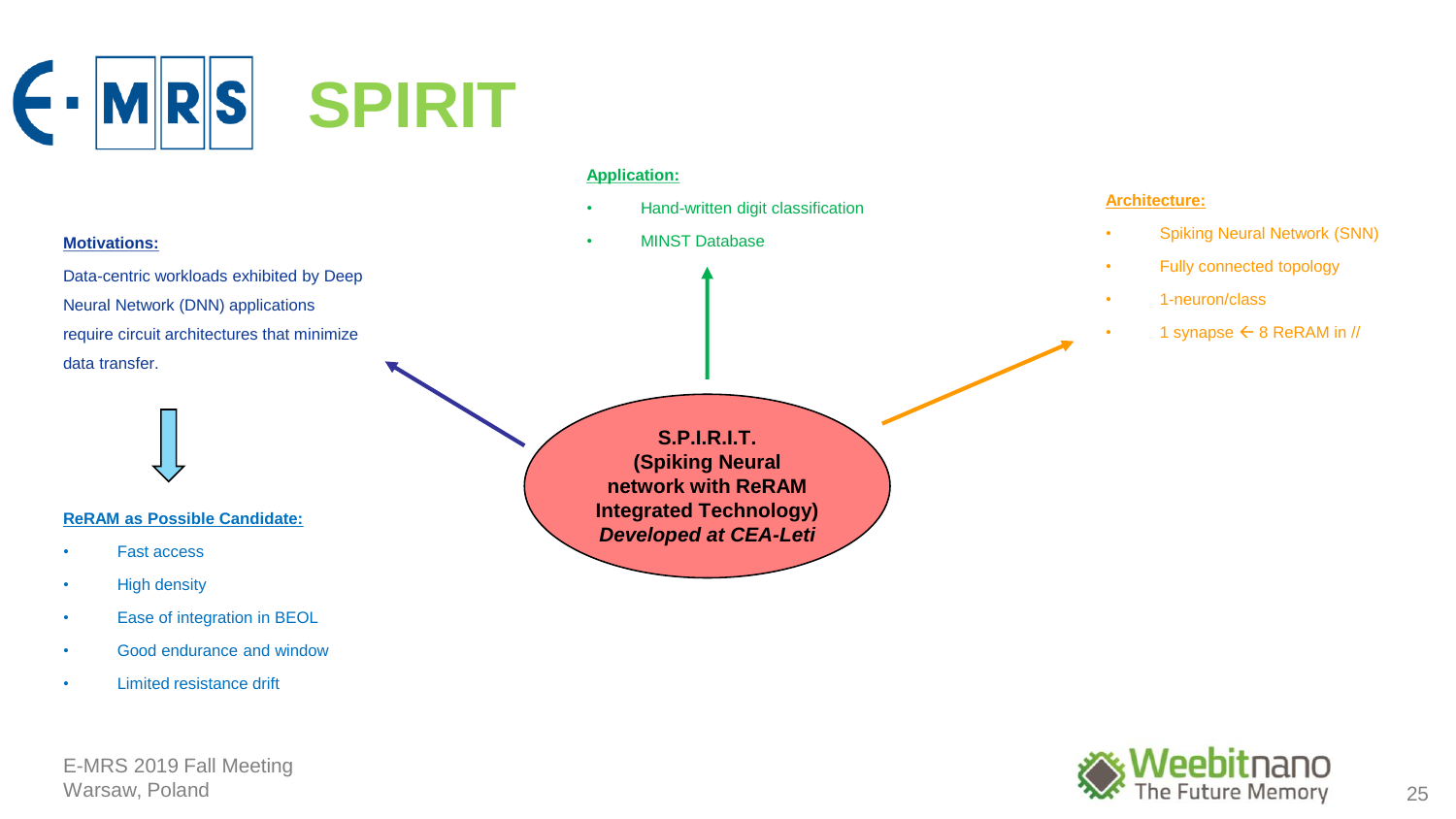

- Hand-written digit classification
- MINST Database

## **Architecture:**

- Spiking Neural Network (SNN)
- Fully connected topology
- 1-neuron/class
	- 1 synapse  $\leftarrow$  8 ReRAM in //

#### **Motivations:**

Data-centric workloads exhibited by Deep Neural Network (DNN) applications require circuit architectures that minimize data transfer.

## **ReRAM as Possible Candidate:**

- Fast access
- High density
- Ease of integration in BEOL
- Good endurance and window
- Limited resistance drift

E-MRS 2019 Fall Meeting

**S.P.I.R.I.T. (Spiking Neural network with ReRAM Integrated Technology)** *Developed at CEA-Leti*

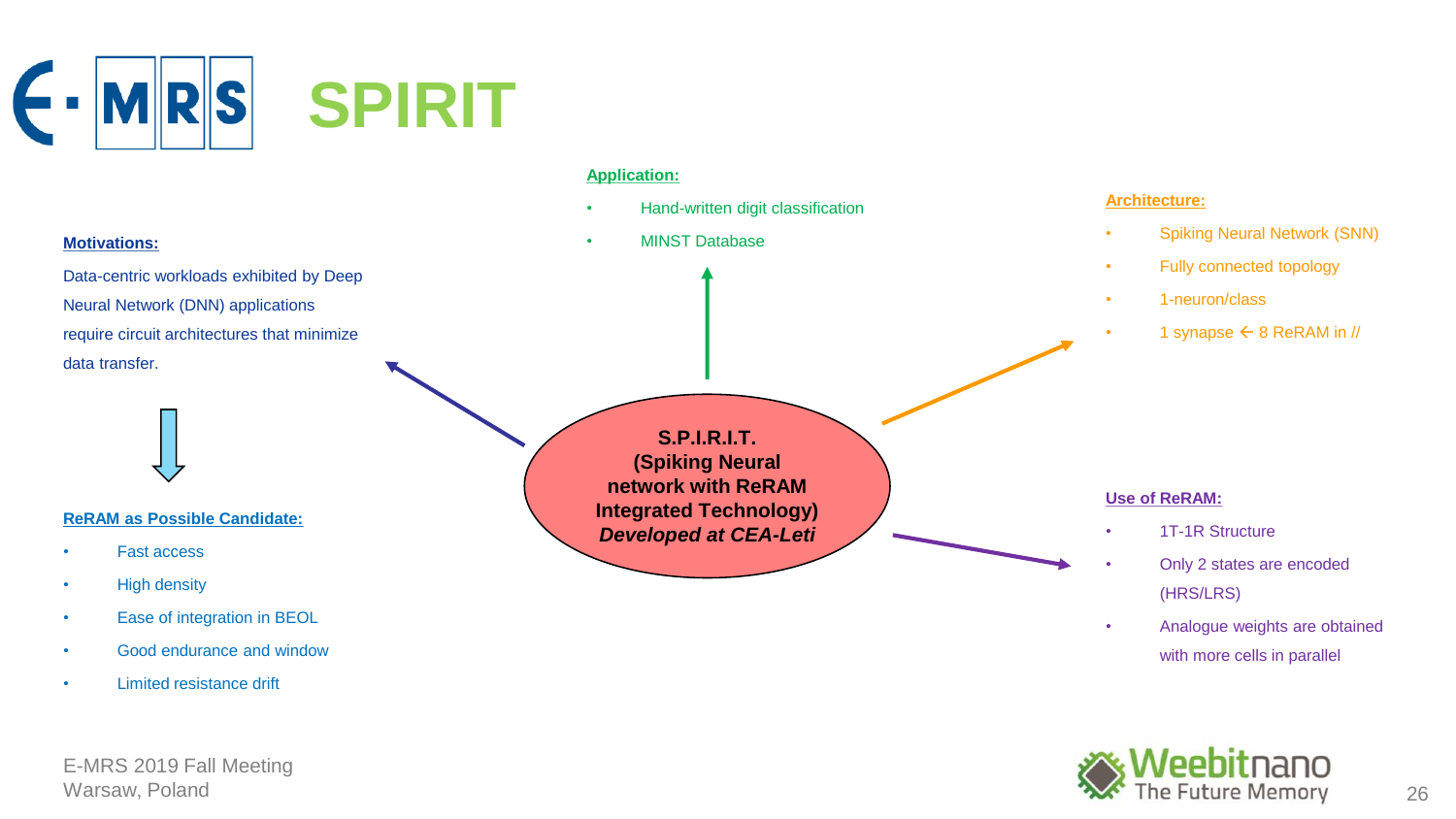



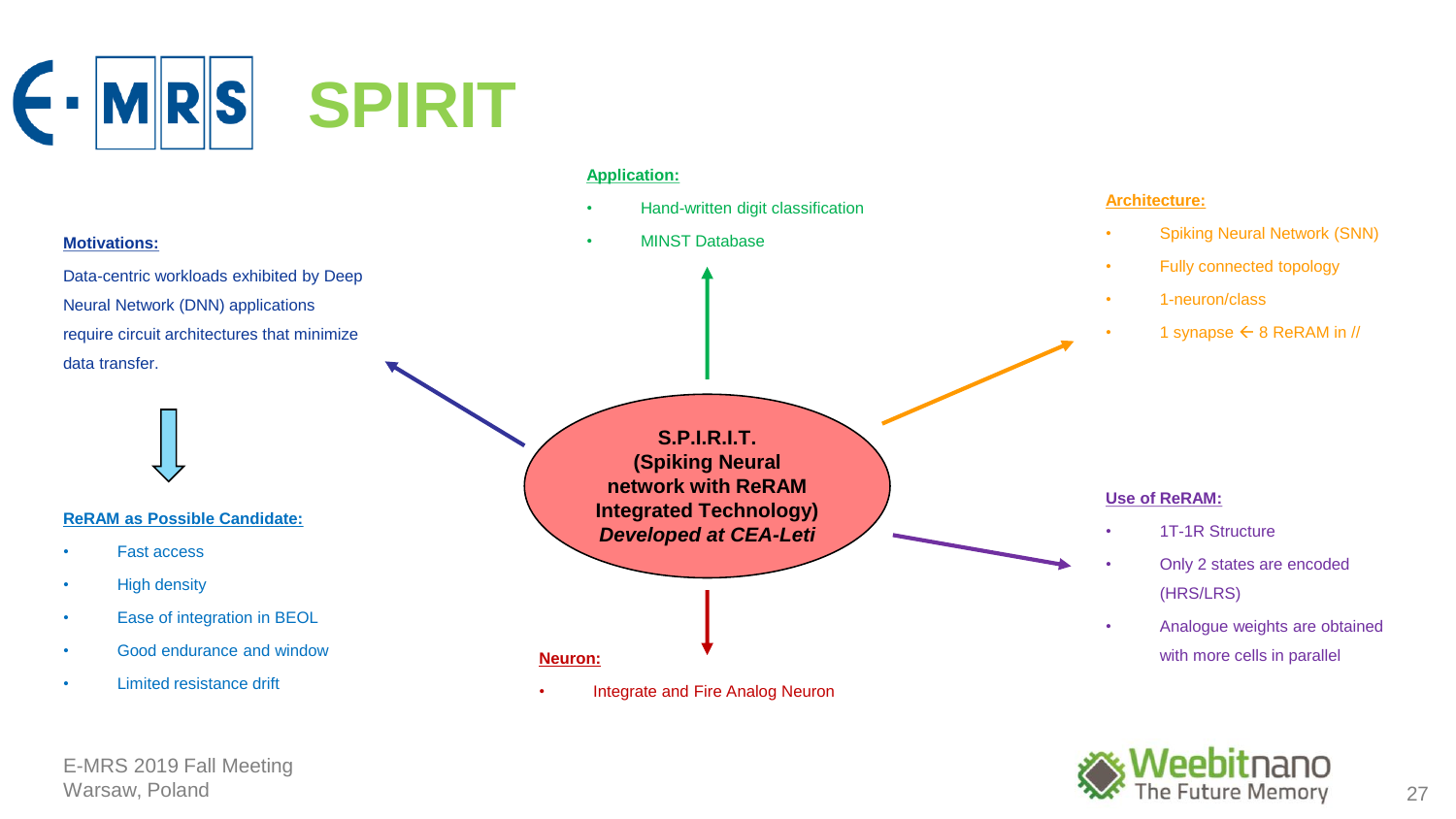



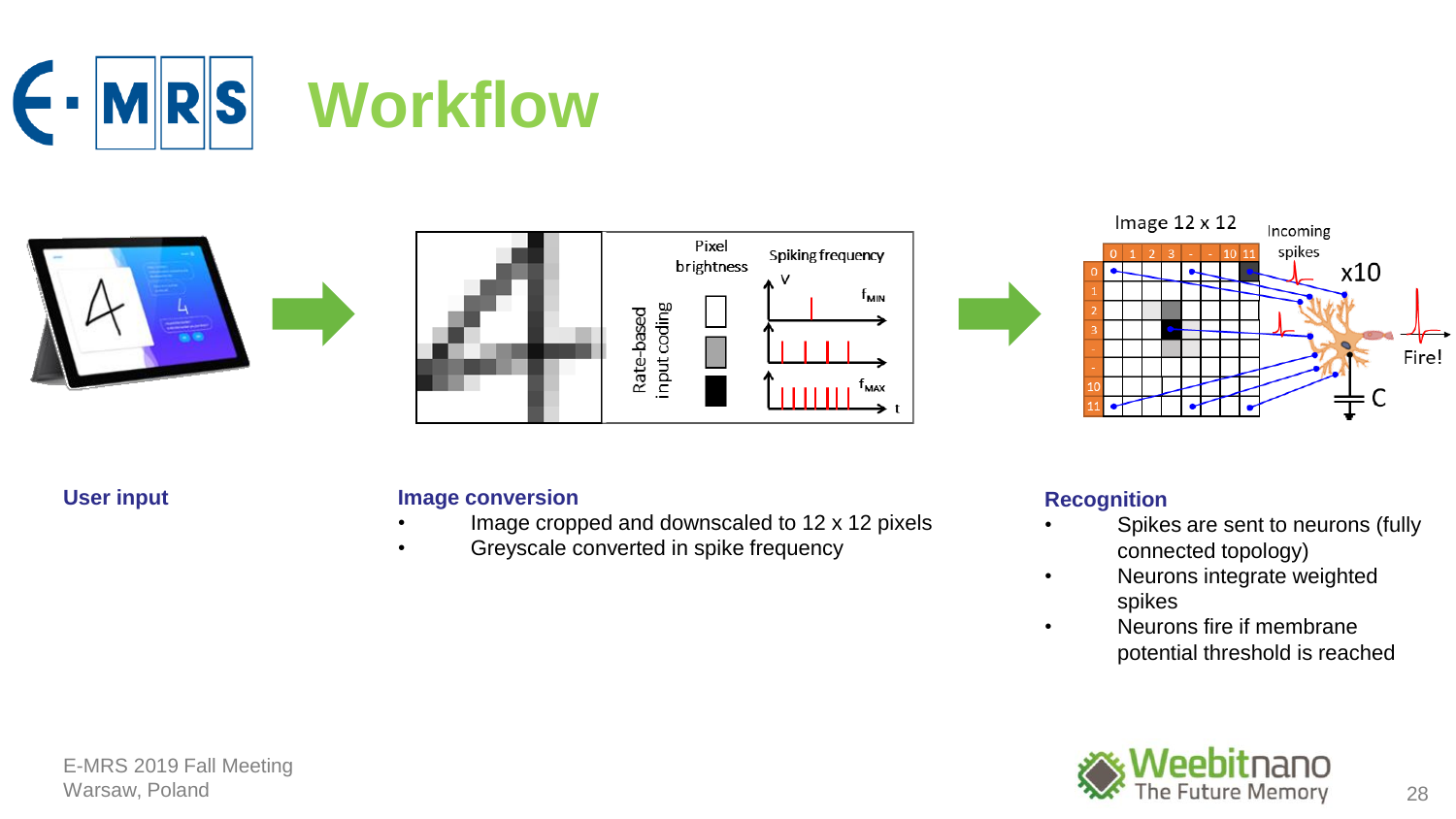







## **User input Image conversion**

- Image cropped and downscaled to 12 x 12 pixels
- Greyscale converted in spike frequency

## **Recognition**

- Spikes are sent to neurons (fully connected topology)
- Neurons integrate weighted spikes
- Neurons fire if membrane potential threshold is reached

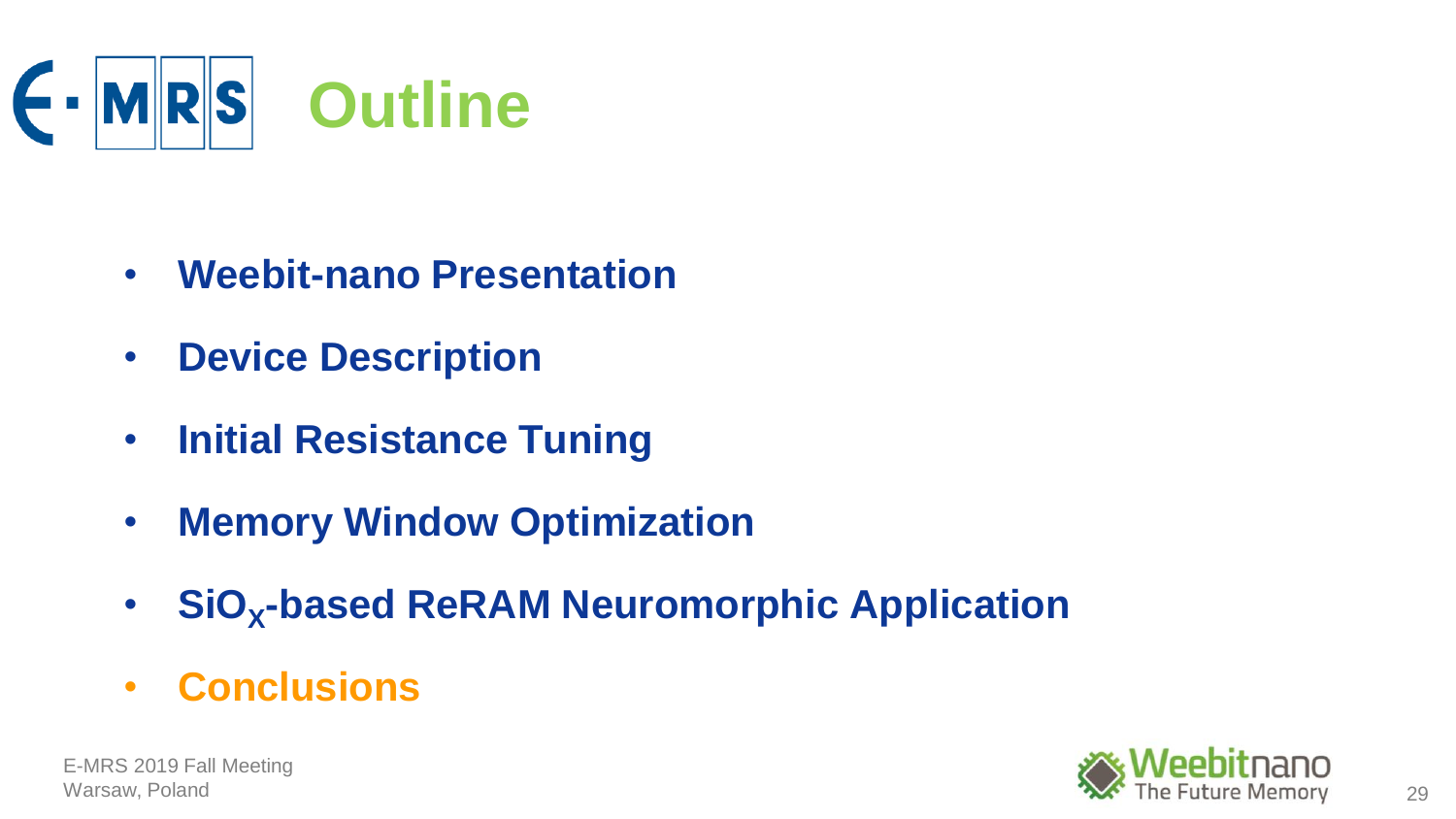

- **Weebit-nano Presentation**
- **Device Description**
- **Initial Resistance Tuning**
- **Memory Window Optimization**
- **SiO<sup>X</sup> -based ReRAM Neuromorphic Application**
- **Conclusions**



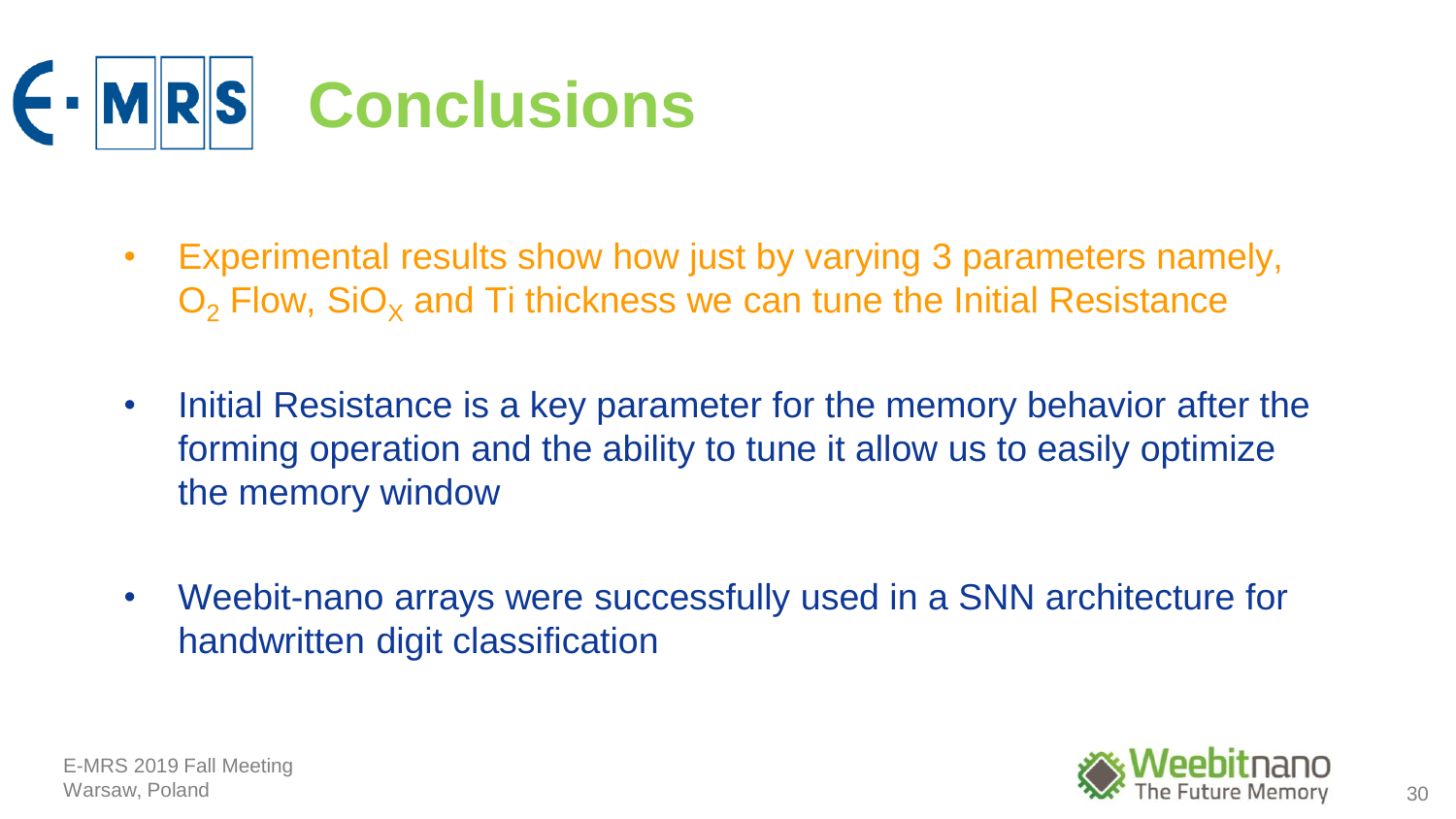

- Experimental results show how just by varying 3 parameters namely,  $O<sub>2</sub>$  Flow, SiO<sub>x</sub> and Ti thickness we can tune the Initial Resistance
- Initial Resistance is a key parameter for the memory behavior after the forming operation and the ability to tune it allow us to easily optimize the memory window
- Weebit-nano arrays were successfully used in a SNN architecture for handwritten digit classification

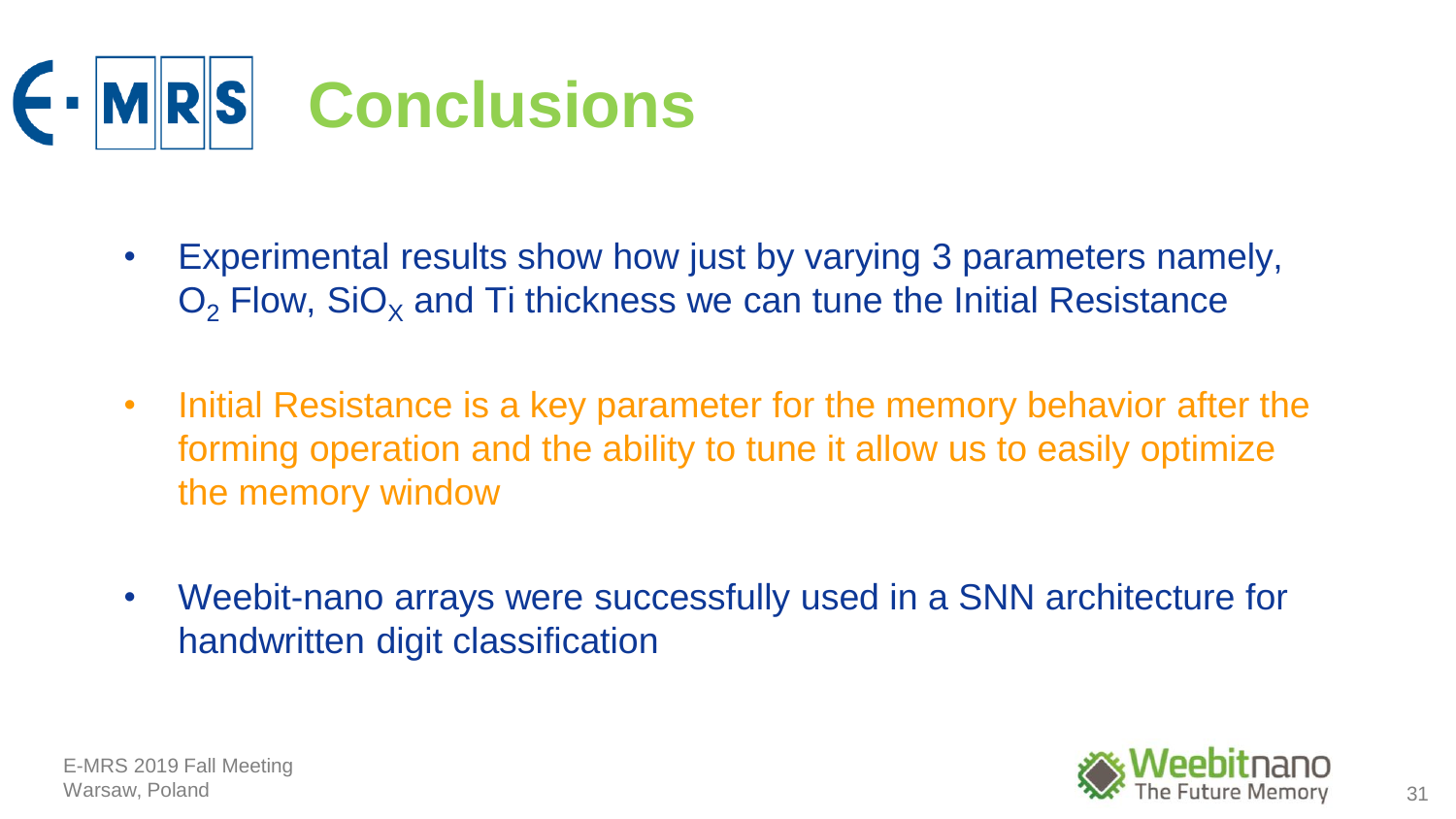

- Experimental results show how just by varying 3 parameters namely,  $O<sub>2</sub>$  Flow, SiO<sub>x</sub> and Ti thickness we can tune the Initial Resistance
- Initial Resistance is a key parameter for the memory behavior after the forming operation and the ability to tune it allow us to easily optimize the memory window
- Weebit-nano arrays were successfully used in a SNN architecture for handwritten digit classification

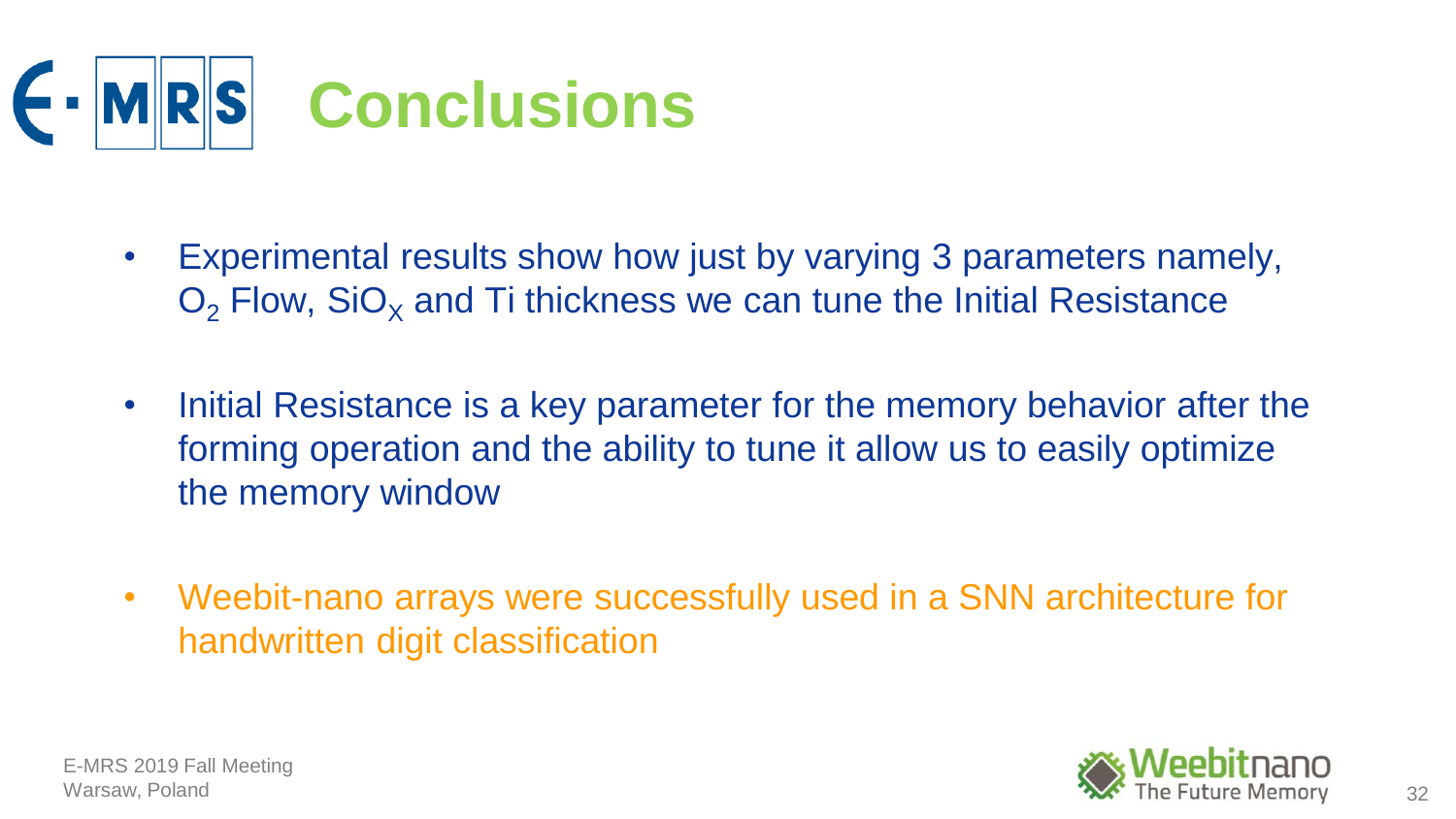

- Experimental results show how just by varying 3 parameters namely,  $O<sub>2</sub>$  Flow, SiO<sub>x</sub> and Ti thickness we can tune the Initial Resistance
- Initial Resistance is a key parameter for the memory behavior after the forming operation and the ability to tune it allow us to easily optimize the memory window
- Weebit-nano arrays were successfully used in a SNN architecture for handwritten digit classification

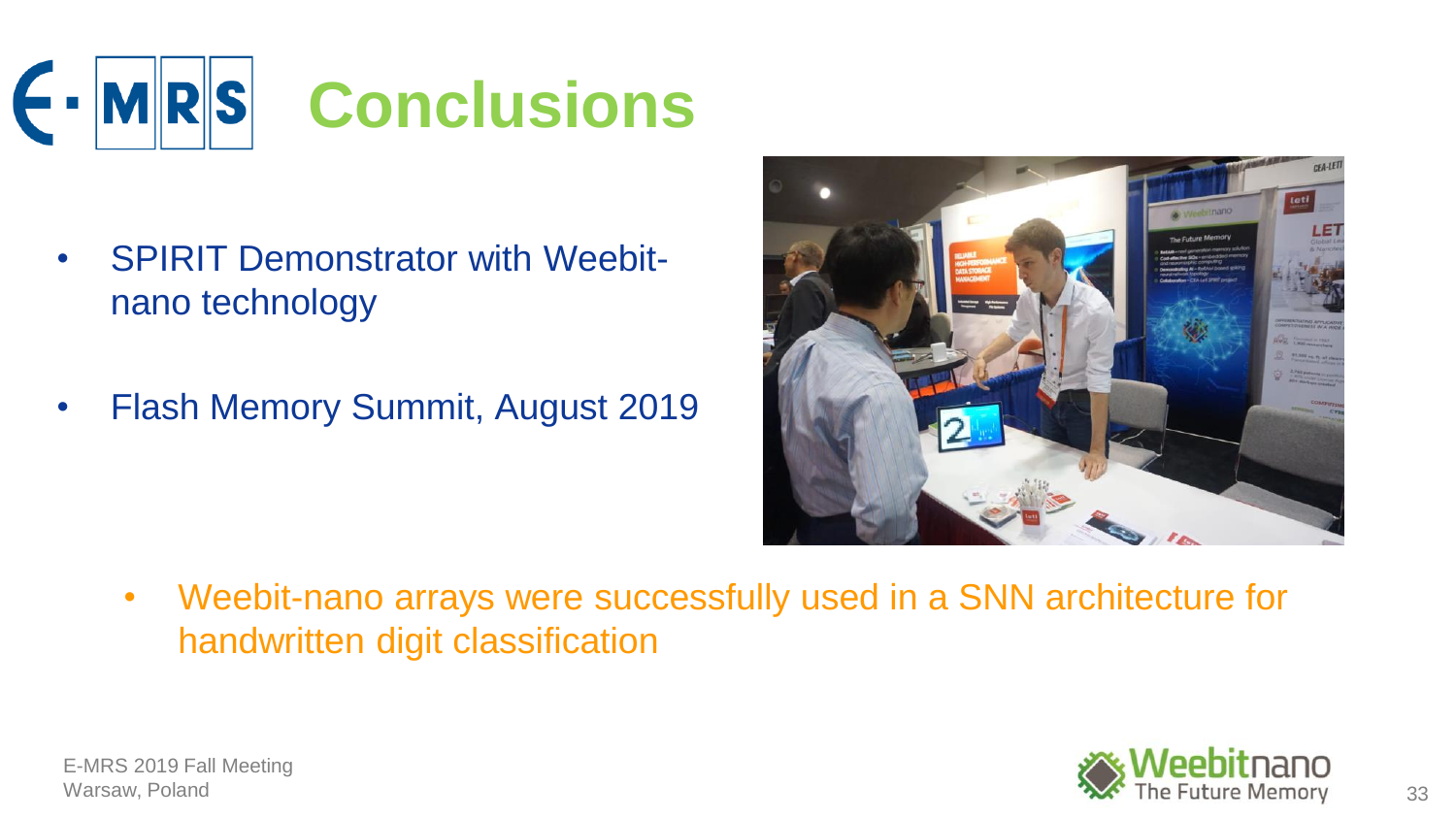

- SPIRIT Demonstrator with Weebit- **For your show in the state of the state of the state of the state of the state of the state of the state of the state of the state of the state of the state of the state of the state of** O<sup>2</sup> Flow, SiO<sup>X</sup> and Ti thickness we can tune the Initial Resistance nano technology
- Initial Resistance is a key parameter for the memory Summit, August 2019



• Weebit-nano arrays were successfully used in a SNN architecture for handwritten digit classification